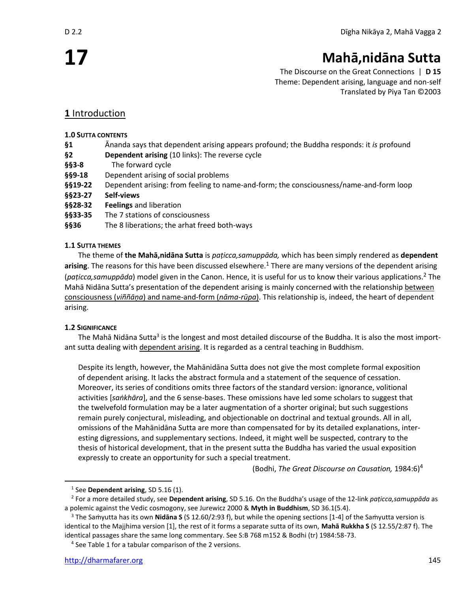**17**

# **Mahā,nidāna Sutta**

The Discourse on the Great Connections | **D 15** Theme: Dependent arising, language and non-self Translated by Piya Tan ©2003

## **1** Introduction

### **1.0 SUTTA CONTENTS**

- **§1** Ānanda says that dependent arising appears profound; the Buddha responds: it *is* profound
- **§2 Dependent arising** (10 links): The reverse cycle
- **§§3-8** The forward cycle
- **§§9-18** Dependent arising of social problems
- **§§19-22** Dependent arising: from feeling to name-and-form; the consciousness/name-and-form loop
- **§§23-27 Self-views**
- **§§28-32 Feelings** and liberation
- **§§33-35** The 7 stations of consciousness
- **§§36** The 8 liberations; the arhat freed both-ways

### **1.1 SUTTA THEMES**

The theme of **the Mahā,nidāna Sutta** is *paṭicca,samuppāda,* which has been simply rendered as **dependent**  arising. The reasons for this have been discussed elsewhere.<sup>1</sup> There are many versions of the dependent arising (*paṭicca,samuppāda*) model given in the Canon. Hence, it is useful for us to know their various applications.<sup>2</sup> The Mahā Nidāna Sutta's presentation of the dependent arising is mainly concerned with the relationship between consciousness (*viññāṇa*) and name-and-form (*nāma-rūpa*). This relationship is, indeed, the heart of dependent arising.

### **1.2 SIGNIFICANCE**

The Mahā Nidāna Sutta<sup>3</sup> is the longest and most detailed discourse of the Buddha. It is also the most important sutta dealing with dependent arising. It is regarded as a central teaching in Buddhism.

Despite its length, however, the Mahānidāna Sutta does not give the most complete formal exposition of dependent arising. It lacks the abstract formula and a statement of the sequence of cessation. Moreover, its series of conditions omits three factors of the standard version: ignorance, volitional activities [*saṅkhāra*], and the 6 sense-bases. These omissions have led some scholars to suggest that the twelvefold formulation may be a later augmentation of a shorter original; but such suggestions remain purely conjectural, misleading, and objectionable on doctrinal and textual grounds. All in all, omissions of the Mahānidāna Sutta are more than compensated for by its detailed explanations, interesting digressions, and supplementary sections. Indeed, it might well be suspected, contrary to the thesis of historical development, that in the present sutta the Buddha has varied the usual exposition expressly to create an opportunity for such a special treatment.

(Bodhi, *The Great Discourse on Causation,* 1984:6)<sup>4</sup>

<sup>4</sup> See Table 1 for a tabular comparison of the 2 versions.

<sup>1</sup> See **Dependent arising**, SD 5.16 (1).

<sup>2</sup> For a more detailed study, see **Dependent arising**, SD 5.16. On the Buddha's usage of the 12-link *paṭicca,samuppāda* as a polemic against the Vedic cosmogony, see Jurewicz 2000 & **Myth in Buddhism**, SD 36.1(5.4).

<sup>3</sup> The Saṁyutta has its own **Nidāna S** (S 12.60/2:93 f), but while the opening sections [1-4] of the Saṁyutta version is identical to the Majjhima version [1], the rest of it forms a separate sutta of its own, **Mahā Rukkha S** (S 12.55/2:87 f). The identical passages share the same long commentary. See S:B 768 m152 & Bodhi (tr) 1984:58-73.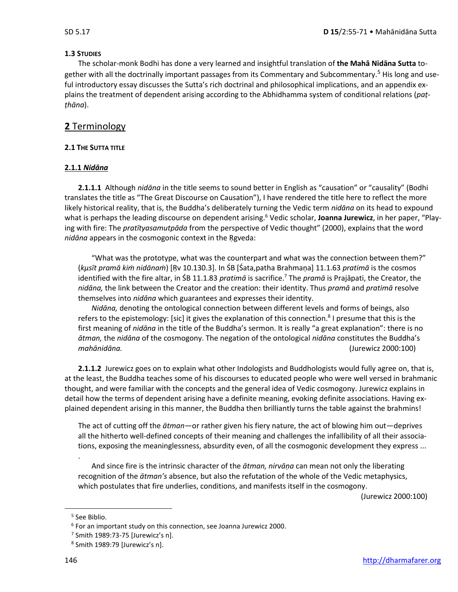### **1.3 STUDIES**

The scholar-monk Bodhi has done a very learned and insightful translation of **the Mahā Nidāna Sutta** together with all the doctrinally important passages from its Commentary and Subcommentary.<sup>5</sup> His long and useful introductory essay discusses the Sutta's rich doctrinal and philosophical implications, and an appendix explains the treatment of dependent arising according to the Abhidhamma system of conditional relations (*paṭṭhāna*).

### **2** Terminology

### **2.1 THE SUTTA TITLE**

### **2.1.1** *Nidāna*

**2.1.1.1** Although *nidāna* in the title seems to sound better in English as "causation" or "causality" (Bodhi translates the title as "The Great Discourse on Causation"), I have rendered the title here to reflect the more likely historical reality, that is, the Buddha's deliberately turning the Vedic term *nidāna* on its head to expound what is perhaps the leading discourse on dependent arising. <sup>6</sup> Vedic scholar, **Joanna Jurewicz**, in her paper, "Playing with fire: The *pratītyasamutpāda* from the perspective of Vedic thought" (2000), explains that the word *nidāna* appears in the cosmogonic context in the Ṛgveda:

"What was the prototype, what was the counterpart and what was the connection between them?" (*kµsīt pramā kiṁ nidānaṁ*) [Ṛv 10.130.3]. In ŚB [Śata,patha Brahmaṇa] 11.1.63 *pratimā* is the cosmos identified with the fire altar, in ŚB 11.1.83 *pratimā* is sacrifice.<sup>7</sup> The *pramā* is Prajāpati, the Creator, the *nidāna,* the link between the Creator and the creation: their identity. Thus *pramā* and *pratimā* resolve themselves into *nidāna* which guarantees and expresses their identity.

*Nidāna,* denoting the ontological connection between different levels and forms of beings, also refers to the epistemology: [sic] it gives the explanation of this connection.<sup>8</sup> I presume that this is the first meaning of *nidāna* in the title of the Buddha's sermon. It is really "a great explanation": there is no *ātman,* the *nidāna* of the cosmogony. The negation of the ontological *nidāna* constitutes the Buddha's *mahānidāna.* (Jurewicz 2000:100)

**2.1.1.2** Jurewicz goes on to explain what other Indologists and Buddhologists would fully agree on, that is, at the least, the Buddha teaches some of his discourses to educated people who were well versed in brahmanic thought, and were familiar with the concepts and the general idea of Vedic cosmogony. Jurewicz explains in detail how the terms of dependent arising have a definite meaning, evoking definite associations. Having explained dependent arising in this manner, the Buddha then brilliantly turns the table against the brahmins!

The act of cutting off the *ātman*—or rather given his fiery nature, the act of blowing him out—deprives all the hitherto well-defined concepts of their meaning and challenges the infallibility of all their associations, exposing the meaninglessness, absurdity even, of all the cosmogonic development they express ...

And since fire is the intrinsic character of the *ātman, nirvāṇa* can mean not only the liberating recognition of the *ātman's* absence, but also the refutation of the whole of the Vedic metaphysics, which postulates that fire underlies, conditions, and manifests itself in the cosmogony.

(Jurewicz 2000:100)

.

<sup>5</sup> See Biblio.

<sup>6</sup> For an important study on this connection, see Joanna Jurewicz 2000.

<sup>7</sup> Smith 1989:73-75 [Jurewicz's n].

 $^8$  Smith 1989:79 [Jurewicz's n].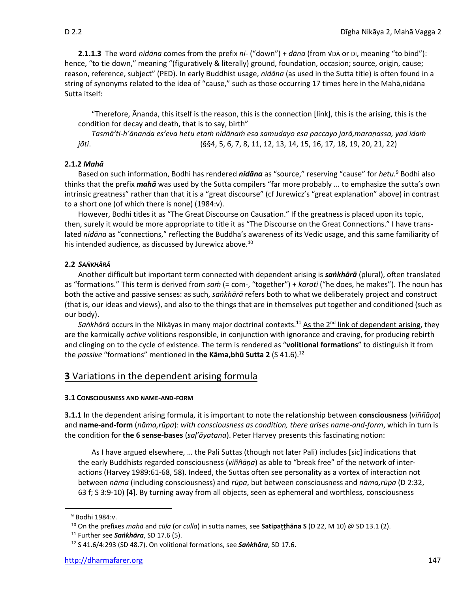**2.1.1.3** The word *nidāna* comes from the prefix *ni-* ("down") + *dāna* (from √DĀ or DI, meaning "to bind"): hence, "to tie down," meaning "(figuratively & literally) ground, foundation, occasion; source, origin, cause; reason, reference, subject" (PED). In early Buddhist usage, *nidāna* (as used in the Sutta title) is often found in a string of synonyms related to the idea of "cause," such as those occurring 17 times here in the Mahā,nidāna Sutta itself:

"Therefore, Ānanda, this itself is the reason, this is the connection [link], this is the arising, this is the condition for decay and death, that is to say, birth"

*Tasmā'ti-h'ānanda es'eva hetu etaṁ nidānaṁ esa samudayo esa paccayo jarā,maraṇassa, yad idaṁ jāti*. (§§4, 5, 6, 7, 8, 11, 12, 13, 14, 15, 16, 17, 18, 19, 20, 21, 22)

### **2.1.2** *Mahā*

Based on such information, Bodhi has rendered *nidāna* as "source," reserving "cause" for *hetu.*<sup>9</sup> Bodhi also thinks that the prefix *mahā* was used by the Sutta compilers "far more probably ... to emphasize the sutta's own intrinsic greatness" rather than that it is a "great discourse" (cf Jurewicz's "great explanation" above) in contrast to a short one (of which there is none) (1984:v).

However, Bodhi titles it as "The Great Discourse on Causation." If the greatness is placed upon its topic, then, surely it would be more appropriate to title it as "The Discourse on the Great Connections." I have translated *nidāna* as "connections," reflecting the Buddha's awareness of its Vedic usage, and this same familiarity of his intended audience, as discussed by Jurewicz above.<sup>10</sup>

### **2.2** *SAṄKHĀRĀ*

Another difficult but important term connected with dependent arising is *saṅkhārā* (plural), often translated as "formations." This term is derived from *saṁ* (= com-, "together") + *karoti* ("he does, he makes"). The noun has both the active and passive senses: as such, *saṅkhārā* refers both to what we deliberately project and construct (that is, our ideas and views), and also to the things that are in themselves put together and conditioned (such as our body).

Sankhārā occurs in the Nikāyas in many major doctrinal contexts.<sup>11</sup> As the 2<sup>nd</sup> link of dependent arising, they are the karmically *active* volitions responsible, in conjunction with ignorance and craving, for producing rebirth and clinging on to the cycle of existence. The term is rendered as "**volitional formations**" to distinguish it from the *passive* "formations" mentioned in **the Kāma,bhū Sutta 2** (S 41.6).<sup>12</sup>

### **3** Variations in the dependent arising formula

### **3.1 CONSCIOUSNESS AND NAME-AND-FORM**

**3.1.1** In the dependent arising formula, it is important to note the relationship between **consciousness** (*viññāṇa*) and **name-and-form** (*nāma,rūpa*): *with consciousness as condition, there arises name-and-form*, which in turn is the condition for **the 6 sense-bases** (*saḷ'āyatana*). Peter Harvey presents this fascinating notion:

As I have argued elsewhere, … the Pali Suttas (though not later Pali) includes [sic] indications that the early Buddhists regarded consciousness (*viññāṇa*) as able to "break free" of the network of interactions (Harvey 1989:61-68, 58). Indeed, the Suttas often see personality as a vortex of interaction not between *nāma* (including consciousness) and *rūpa*, but between consciousness and *nāma,rūpa* (D 2:32, 63 f; S 3:9-10) [4]. By turning away from all objects, seen as ephemeral and worthless, consciousness

<sup>9</sup> Bodhi 1984:v.

<sup>10</sup> On the prefixes *mahā* and *cūḷa* (or *culla*) in sutta names, see **Satipaṭṭhāna S** (D 22, M 10) @ SD 13.1 (2).

<sup>11</sup> Further see *Saṅkhāra*, SD 17.6 (5).

<sup>12</sup> S 41.6/4:293 (SD 48.7). On volitional formations, see *Saṅkhāra*, SD 17.6.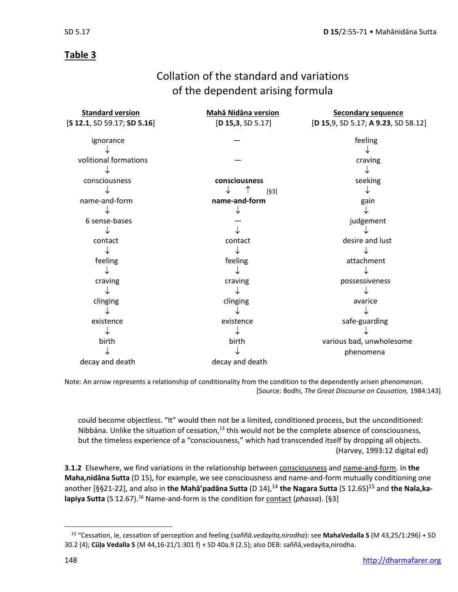# **Table 3**

# Collation of the standard and variations of the dependent arising formula

| <b>Standard version</b>           | <b>Mahā Nidāna version</b> | <b>Secondary sequence</b>            |
|-----------------------------------|----------------------------|--------------------------------------|
| $[$ S 12.1, SD 59.17; SD 5.16 $]$ | [D 15, 3, SD 5.17]         | [D 15, 9, SD 5.17; A 9.23, SD 58.12] |
|                                   |                            |                                      |
| ignorance                         |                            | feeling                              |
|                                   |                            |                                      |
| volitional formations             |                            | craving                              |
|                                   |                            |                                      |
| consciousness                     | consciousness              | seeking                              |
|                                   | $[§3]$                     |                                      |
| name-and-form                     | name-and-form              | gain                                 |
|                                   |                            |                                      |
| 6 sense-bases                     |                            | judgement                            |
|                                   |                            |                                      |
| contact                           | contact                    | desire and lust                      |
|                                   |                            |                                      |
| feeling                           | feeling                    | attachment                           |
|                                   |                            |                                      |
| craving                           | craving                    | possessiveness                       |
|                                   |                            |                                      |
| clinging                          | clinging                   | avarice                              |
|                                   |                            |                                      |
| existence                         | existence                  | safe-guarding                        |
|                                   |                            |                                      |
| birth                             | birth                      | various bad, unwholesome             |
|                                   |                            | phenomena                            |
| decay and death                   | decay and death            |                                      |

Note: An arrow represents a relationship of conditionality from the condition to the dependently arisen phenomenon. [Source: Bodhi, *The Great Discourse on Causation,* 1984:143]

could become objectless. "It" would then not be a limited, conditioned process, but the unconditioned: Nibbāna. Unlike the situation of cessation,<sup>13</sup> this would not be the complete absence of consciousness, but the timeless experience of a "consciousness," which had transcended itself by dropping all objects. (Harvey, 1993:12 digital ed)

**3.1.2** Elsewhere, we find variations in the relationship between consciousness and name-and-form. In **the Maha,nidāna Sutta** (D 15), for example, we see consciousness and name-and-form mutually conditioning one another [§§21-22], and also in the Maha<sup>'</sup>padana Sutta (D 14),<sup>14</sup> the Nagara Sutta (S 12.65)<sup>15</sup> and the Nala, ka**lapiya Sutta** (S 12.67).<sup>16</sup> Name-and-form is the condition for contact (*phassa*). [§3]

<sup>13</sup> "Cessation, ie, cessation of perception and feeling (*saññā.vedayita,nirodha*): see **MahaVedalla S** (M 43,25/1:296) + SD 30.2 (4); **Cūḷa Vedalla S** (M 44,16-21/1:301 f) + SD 40a.9 (2.5); also DEB: saññā,vedayita,nirodha.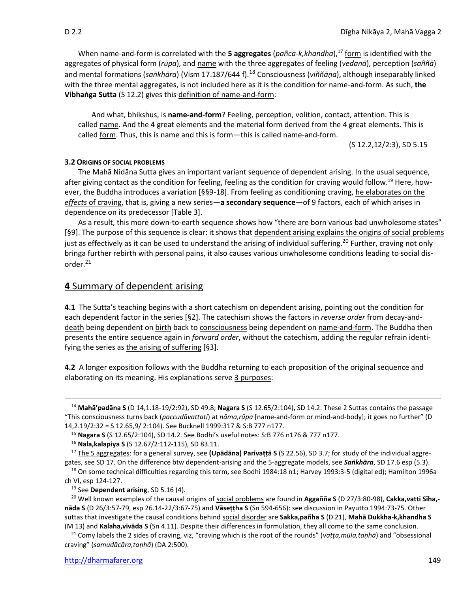When name-and-form is correlated with the 5 aggregates (pañca-k, khandha),<sup>17</sup> form is identified with the aggregates of physical form (*rūpa*), and name with the three aggregates of feeling (*vedanā*), perception (*saññā*) and mental formations (*saṅkhāra*) (Vism 17.187/644 f).<sup>18</sup> Consciousness (*viññāṇa*), although inseparably linked with the three mental aggregates, is not included here as it is the condition for name-and-form. As such, **the Vibhaṅga Sutta** (S 12.2) gives this definition of name-and-form:

And what, bhikshus, is **name-and-form**? Feeling, perception, volition, contact, attention. This is called name. And the 4 great elements and the material form derived from the 4 great elements. This is called form. Thus, this is name and this is form—this is called name-and-form.

(S 12.2,12/2:3), SD 5.15

### **3.2 ORIGINS OF SOCIAL PROBLEMS**

The Mahā Nidāna Sutta gives an important variant sequence of dependent arising. In the usual sequence, after giving contact as the condition for feeling, feeling as the condition for craving would follow.<sup>19</sup> Here, however, the Buddha introduces a variation [§§9-18]. From feeling as conditioning craving, he elaborates on the *effects* of craving, that is, giving a new series—**a secondary sequence**—of 9 factors, each of which arises in dependence on its predecessor [Table 3].

As a result, this more down-to-earth sequence shows how "there are born various bad unwholesome states" [§9]. The purpose of this sequence is clear: it shows that dependent arising explains the origins of social problems just as effectively as it can be used to understand the arising of individual suffering.<sup>20</sup> Further, craving not only bringa further rebirth with personal pains, it also causes various unwholesome conditions leading to social disorder.<sup>21</sup>

### **4** Summary of dependent arising

**4.1** The Sutta's teaching begins with a short catechism on dependent arising, pointing out the condition for each dependent factor in the series [§2]. The catechism shows the factors in *reverse order* from decay-anddeath being dependent on birth back to consciousness being dependent on name-and-form. The Buddha then presents the entire sequence again in *forward order*, without the catechism, adding the regular refrain identifying the series as the arising of suffering [§3].

**4.2** A longer exposition follows with the Buddha returning to each proposition of the original sequence and elaborating on its meaning. His explanations serve 3 purposes:

 $18$  On some technical difficulties regarding this term, see Bodhi 1984:18 n1; Harvey 1993:3-5 (digital ed); Hamilton 1996a ch VI, esp 124-127.

<sup>19</sup> See **Dependent arising**, SD 5.16 (4).

<sup>20</sup> Well known examples of the causal origins of social problems are found in **Aggañña S** (D 27/3:80-98), **Cakka,vatti Sīha, nāda S** (D 26/3:57-79, esp 26.14-22/3:67-75) and **Vāseṭṭha S** (Sn 594-656): see discussion in Payutto 1994:73-75. Other suttas that investigate the causal conditions behind social disorder are **Sakka,pañha S** (D 21), **Mahā Dukkha-k,khandha S**  (M 13) and **Kalaha,vivāda S** (Sn 4.11). Despite their differences in formulation, they all come to the same conclusion.

<sup>21</sup> Comy labels the 2 sides of craving, viz, "craving which is the root of the rounds" (*vaṭṭa,mūla,taṇhā*) and "obsessional craving" (*samudācāra,taṇhā*) (DA 2:500).

<sup>14</sup> **Mahā'padāna S** (D 14,1.18-19/2:92), SD 49.8; **Nagara S** (S 12.65/2:104), SD 14.2. These 2 Suttas contains the passage "This consciousness turns back (*paccudāvattati*) at *nāma,rūpa* [name-and-form or mind-and-body]; it goes no further" (D 14,2.19/2:32 = S 12.65,9/ 2:104). See Bucknell 1999:317 & S:B 777 n177.

<sup>15</sup> **Nagara S** (S 12.65/2:104), SD 14.2. See Bodhi's useful notes: S:B 776 n176 & 777 n177.

<sup>16</sup> **Nala,kalapiya S** (S 12.67/2:112-115), SD 83.11.

<sup>17</sup> The 5 aggregates: for a general survey, see **(Upādāna) Parivaṭṭā S** (S 22.56), SD 3.7; for study of the individual aggregates, see SD 17. On the difference btw dependent-arising and the 5-aggregate models, see *Saṅkhāra*, SD 17.6 esp (5.3).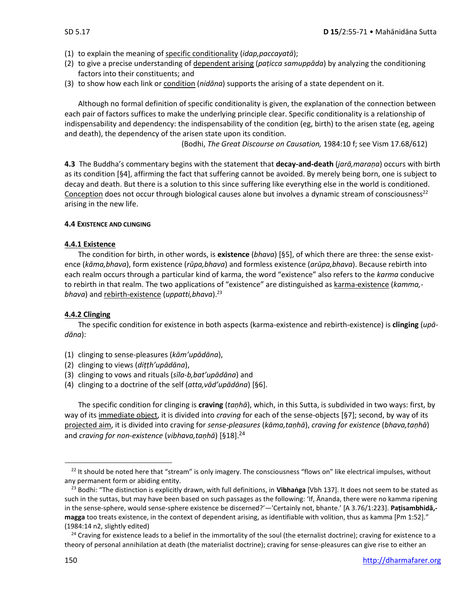- (1) to explain the meaning of specific conditionality (*idap,paccayatā*);
- (2) to give a precise understanding of dependent arising (*paṭicca samuppāda*) by analyzing the conditioning factors into their constituents; and
- (3) to show how each link or condition (*nidāna*) supports the arising of a state dependent on it.

Although no formal definition of specific conditionality is given, the explanation of the connection between each pair of factors suffices to make the underlying principle clear. Specific conditionality is a relationship of indispensability and dependency: the indispensability of the condition (eg, birth) to the arisen state (eg, ageing and death), the dependency of the arisen state upon its condition.

(Bodhi, *The Great Discourse on Causation,* 1984:10 f; see Vism 17.68/612)

**4.3** The Buddha's commentary begins with the statement that **decay-and-death** (*jarā,maraṇa*) occurs with birth as its condition [§4], affirming the fact that suffering cannot be avoided. By merely being born, one is subject to decay and death. But there is a solution to this since suffering like everything else in the world is conditioned. Conception does not occur through biological causes alone but involves a dynamic stream of consciousness<sup>22</sup> arising in the new life.

### **4.4 EXISTENCE AND CLINGING**

### **4.4.1 Existence**

The condition for birth, in other words, is **existence** (*bhava*) [§5], of which there are three: the sense existence (*kāma,bhava*), form existence (*rūpa,bhava*) and formless existence (*arūpa,bhava*). Because rebirth into each realm occurs through a particular kind of karma, the word "existence" also refers to the *karma* conducive to rebirth in that realm. The two applications of "existence" are distinguished as karma-existence (*kamma, bhava*) and rebirth-existence (*uppatti,bhava*).<sup>23</sup>

### **4.4.2 Clinging**

The specific condition for existence in both aspects (karma-existence and rebirth-existence) is **clinging** (*upādāna*):

- (1) clinging to sense-pleasures (*kām'upādāna*),
- (2) clinging to views (*diṭṭh'upādāna*),
- (3) clinging to vows and rituals (*sīla-b,bat'upādāna*) and
- (4) clinging to a doctrine of the self (*atta,vād'upādāna*) [§6].

The specific condition for clinging is **craving** (*taṇhā*), which, in this Sutta, is subdivided in two ways: first, by way of its immediate object, it is divided into *craving* for each of the sense-objects [§7]; second, by way of its projected aim, it is divided into craving for *sense-pleasures* (*kāma,taṇhā*), *craving for existence* (*bhava,taṇhā*) and *craving for non-existence* (*vibhava,taṇhā*) [§18].<sup>24</sup>

 $22$  It should be noted here that "stream" is only imagery. The consciousness "flows on" like electrical impulses, without any permanent form or abiding entity.

<sup>23</sup> Bodhi: "The distinction is explicitly drawn, with full definitions, in **Vibhaṅga** [Vbh 137]. It does not seem to be stated as such in the suttas, but may have been based on such passages as the following: 'If, Ānanda, there were no kamma ripening in the sense-sphere, would sense-sphere existence be discerned?'—'Certainly not, bhante.' [A 3.76/1:223]. **Paṭisambhidā, magga** too treats existence, in the context of dependent arising, as identifiable with volition, thus as kamma [Pm 1:52]." (1984:14 n2, slightly edited)

<sup>&</sup>lt;sup>24</sup> Craving for existence leads to a belief in the immortality of the soul (the eternalist doctrine); craving for existence to a theory of personal annihilation at death (the materialist doctrine); craving for sense-pleasures can give rise to either an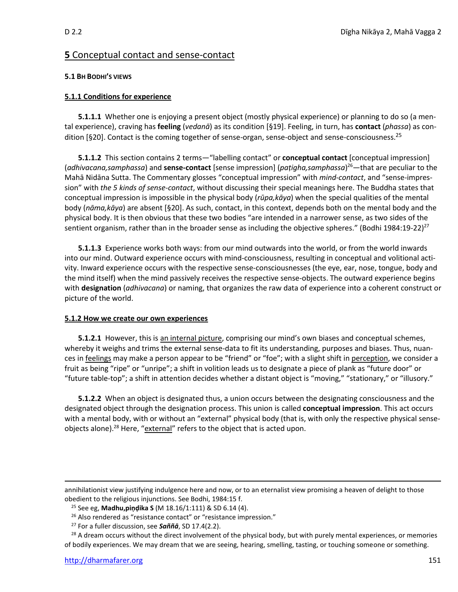### **5** Conceptual contact and sense-contact

### **5.1 BH BODHI'S VIEWS**

### **5.1.1 Conditions for experience**

**5.1.1.1** Whether one is enjoying a present object (mostly physical experience) or planning to do so (a mental experience), craving has **feeling** (*vedanā*) as its condition [§19]. Feeling, in turn, has **contact** (*phassa*) as condition [§20]. Contact is the coming together of sense-organ, sense-object and sense-consciousness.<sup>25</sup>

**5.1.1.2** This section contains 2 terms—"labelling contact" or **conceptual contact** [conceptual impression] (*adhivacana,samphassa*) and **sense-contact** [sense impression] (*paṭigha,samphassa*) <sup>26</sup>—that are peculiar to the Mahā Nidāna Sutta. The Commentary glosses "conceptual impression" with *mind-contact*, and "sense-impression" with *the 5 kinds of sense-contact*, without discussing their special meanings here. The Buddha states that conceptual impression is impossible in the physical body (*rūpa,kāya*) when the special qualities of the mental body (*nāma,kāya*) are absent [§20]. As such, contact, in this context, depends both on the mental body and the physical body. It is then obvious that these two bodies "are intended in a narrower sense, as two sides of the sentient organism, rather than in the broader sense as including the objective spheres." (Bodhi 1984:19-22)<sup>27</sup>

**5.1.1.3** Experience works both ways: from our mind outwards into the world, or from the world inwards into our mind. Outward experience occurs with mind-consciousness, resulting in conceptual and volitional activity. Inward experience occurs with the respective sense-consciousnesses (the eye, ear, nose, tongue, body and the mind itself) when the mind passively receives the respective sense-objects. The outward experience begins with **designation** (*adhivacana*) or naming, that organizes the raw data of experience into a coherent construct or picture of the world.

### **5.1.2 How we create our own experiences**

**5.1.2.1** However, this is an internal picture, comprising our mind's own biases and conceptual schemes, whereby it weighs and trims the external sense-data to fit its understanding, purposes and biases. Thus, nuances in feelings may make a person appear to be "friend" or "foe"; with a slight shift in perception, we consider a fruit as being "ripe" or "unripe"; a shift in volition leads us to designate a piece of plank as "future door" or "future table-top"; a shift in attention decides whether a distant object is "moving," "stationary," or "illusory."

**5.1.2.2** When an object is designated thus, a union occurs between the designating consciousness and the designated object through the designation process. This union is called **conceptual impression**. This act occurs with a mental body, with or without an "external" physical body (that is, with only the respective physical senseobjects alone).<sup>28</sup> Here, "*external*" refers to the object that is acted upon.

annihilationist view justifying indulgence here and now, or to an eternalist view promising a heaven of delight to those obedient to the religious injunctions. See Bodhi, 1984:15 f.

<sup>25</sup> See eg, **Madhu,piṇḍika S** (M 18.16/1:111) & SD 6.14 (4).

<sup>&</sup>lt;sup>26</sup> Also rendered as "resistance contact" or "resistance impression."

<sup>27</sup> For a fuller discussion, see *Saññā*, SD 17.4(2.2).

 $28$  A dream occurs without the direct involvement of the physical body, but with purely mental experiences, or memories of bodily experiences. We may dream that we are seeing, hearing, smelling, tasting, or touching someone or something.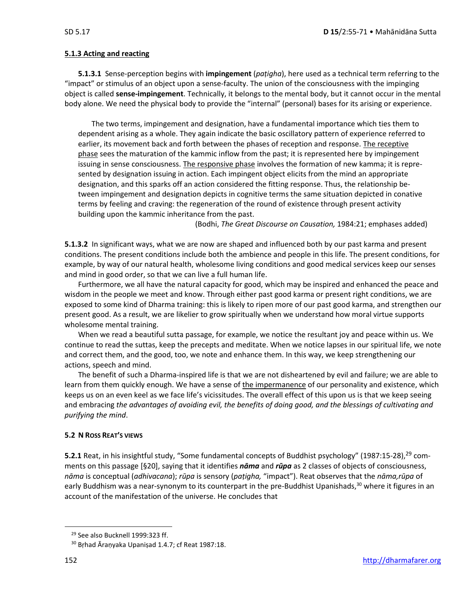### **5.1.3 Acting and reacting**

**5.1.3.1** Sense-perception begins with **impingement** (*paṭigha*), here used as a technical term referring to the "impact" or stimulus of an object upon a sense-faculty. The union of the consciousness with the impinging object is called **sense-impingement**. Technically, it belongs to the mental body, but it cannot occur in the mental body alone. We need the physical body to provide the "internal" (personal) bases for its arising or experience.

The two terms, impingement and designation, have a fundamental importance which ties them to dependent arising as a whole. They again indicate the basic oscillatory pattern of experience referred to earlier, its movement back and forth between the phases of reception and response. The receptive phase sees the maturation of the kammic inflow from the past; it is represented here by impingement issuing in sense consciousness. The responsive phase involves the formation of new kamma; it is represented by designation issuing in action. Each impingent object elicits from the mind an appropriate designation, and this sparks off an action considered the fitting response. Thus, the relationship between impingement and designation depicts in cognitive terms the same situation depicted in conative terms by feeling and craving: the regeneration of the round of existence through present activity building upon the kammic inheritance from the past.

(Bodhi, *The Great Discourse on Causation,* 1984:21; emphases added)

**5.1.3.2** In significant ways, what we are now are shaped and influenced both by our past karma and present conditions. The present conditions include both the ambience and people in this life. The present conditions, for example, by way of our natural health, wholesome living conditions and good medical services keep our senses and mind in good order, so that we can live a full human life.

Furthermore, we all have the natural capacity for good, which may be inspired and enhanced the peace and wisdom in the people we meet and know. Through either past good karma or present right conditions, we are exposed to some kind of Dharma training: this is likely to ripen more of our past good karma, and strengthen our present good. As a result, we are likelier to grow spiritually when we understand how moral virtue supports wholesome mental training.

When we read a beautiful sutta passage, for example, we notice the resultant joy and peace within us. We continue to read the suttas, keep the precepts and meditate. When we notice lapses in our spiritual life, we note and correct them, and the good, too, we note and enhance them. In this way, we keep strengthening our actions, speech and mind.

The benefit of such a Dharma-inspired life is that we are not disheartened by evil and failure; we are able to learn from them quickly enough. We have a sense of the impermanence of our personality and existence, which keeps us on an even keel as we face life's vicissitudes. The overall effect of this upon us is that we keep seeing and embracing *the advantages of avoiding evil, the benefits of doing good, and the blessings of cultivating and purifying the mind*.

### **5.2 N ROSS REAT'S VIEWS**

**5.2.1** Reat, in his insightful study, "Some fundamental concepts of Buddhist psychology" (1987:15-28),<sup>29</sup> comments on this passage [§20], saying that it identifies *nāma* and *rūpa* as 2 classes of objects of consciousness, *nāma* is conceptual (*adhivacana*); *rūpa* is sensory (*paṭigha,* "impact"). Reat observes that the *nāma,rūpa* of early Buddhism was a near-synonym to its counterpart in the pre-Buddhist Upanishads,<sup>30</sup> where it figures in an account of the manifestation of the universe. He concludes that

<sup>&</sup>lt;sup>29</sup> See also Bucknell 1999:323 ff.

<sup>&</sup>lt;sup>30</sup> Brhad Āraņyaka Upanișad 1.4.7; cf Reat 1987:18.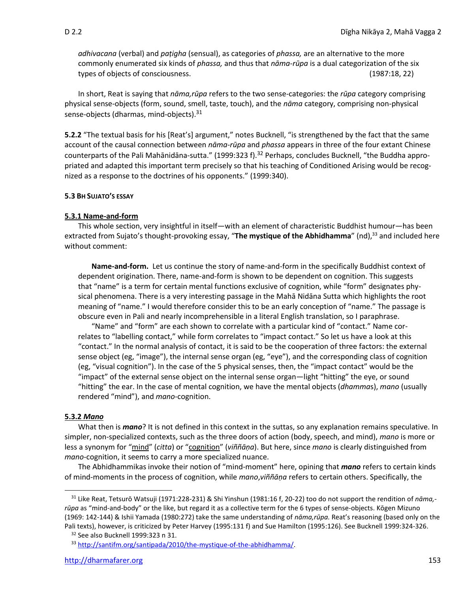*adhivacana* (verbal) and *paṭigha* (sensual), as categories of *phassa,* are an alternative to the more commonly enumerated six kinds of *phassa,* and thus that *nāma-rūpa* is a dual categorization of the six types of objects of consciousness. (1987:18, 22)

In short, Reat is saying that *nāma,rūpa* refers to the two sense-categories: the *rūpa* category comprising physical sense-objects (form, sound, smell, taste, touch), and the *nāma* category, comprising non-physical sense-objects (dharmas, mind-objects).<sup>31</sup>

**5.2.2** "The textual basis for his [Reat's] argument," notes Bucknell, "is strengthened by the fact that the same account of the causal connection between *nāma-rūpa* and *phassa* appears in three of the four extant Chinese counterparts of the Pali Mahānidāna-sutta." (1999:323 f).<sup>32</sup> Perhaps, concludes Bucknell, "the Buddha appropriated and adapted this important term precisely so that his teaching of Conditioned Arising would be recognized as a response to the doctrines of his opponents." (1999:340).

### **5.3 BH SUJATO'S ESSAY**

### **5.3.1 Name-and-form**

This whole section, very insightful in itself—with an element of characteristic Buddhist humour—has been extracted from Sujato's thought-provoking essay, "The mystique of the Abhidhamma" (nd),<sup>33</sup> and included here without comment:

**Name-and-form.** Let us continue the story of name-and-form in the specifically Buddhist context of dependent origination. There, name-and-form is shown to be dependent on cognition. This suggests that "name" is a term for certain mental functions exclusive of cognition, while "form" designates physical phenomena. There is a very interesting passage in the Mahā Nidāna Sutta which highlights the root meaning of "name." I would therefore consider this to be an early conception of "name." The passage is obscure even in Pali and nearly incomprehensible in a literal English translation, so I paraphrase.

"Name" and "form" are each shown to correlate with a particular kind of "contact." Name correlates to "labelling contact," while form correlates to "impact contact." So let us have a look at this "contact." In the normal analysis of contact, it is said to be the cooperation of three factors: the external sense object (eg, "image"), the internal sense organ (eg, "eye"), and the corresponding class of cognition (eg, "visual cognition"). In the case of the 5 physical senses, then, the "impact contact" would be the "impact" of the external sense object on the internal sense organ—light "hitting" the eye, or sound "hitting" the ear. In the case of mental cognition, we have the mental objects (*dhamma*s), *mano* (usually rendered "mind"), and *mano*-cognition.

### **5.3.2** *Mano*

What then is *mano*? It is not defined in this context in the suttas, so any explanation remains speculative. In simpler, non-specialized contexts, such as the three doors of action (body, speech, and mind), *mano* is more or less a synonym for "mind" (*citta*) or "cognition" (*viññāṇa*). But here, since *mano* is clearly distinguished from *mano*-cognition, it seems to carry a more specialized nuance.

The Abhidhammikas invoke their notion of "mind-moment" here, opining that *mano* refers to certain kinds of mind-moments in the process of cognition, while *mano*,*viññāṇa* refers to certain others. Specifically, the

<sup>31</sup> Like Reat, Tetsurō Watsuji (1971:228-231) & Shi Yinshun (1981:16 f, 20-22) too do not support the rendition of *nāma, rūpa* as "mind-and-body" or the like, but regard it as a collective term for the 6 types of sense-objects. Kōgen Mizuno (1969: 142-144) & Ishii Yamada (1980:272) take the same understanding of *nāma,rūpa.* Reat's reasoning (based only on the Pali texts), however, is criticized by Peter Harvey (1995:131 f) and Sue Hamilton (1995:126). See Bucknell 1999:324-326.

<sup>32</sup> See also Bucknell 1999:323 n 31.

<sup>33</sup> [http://santifm.org/santipada/2010/the-mystique-of-the-abhidhamma/.](http://santifm.org/santipada/2010/the-mystique-of-the-abhidhamma/)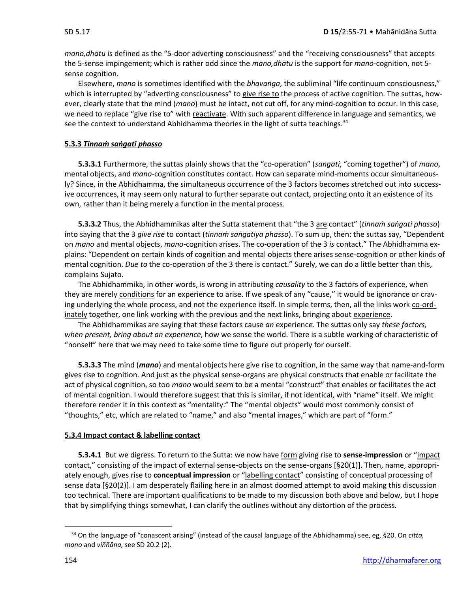*mano,dhātu* is defined as the "5-door adverting consciousness" and the "receiving consciousness" that accepts the 5-sense impingement; which is rather odd since the *mano,dhātu* is the support for *mano*-cognition, not 5 sense cognition.

Elsewhere, *mano* is sometimes identified with the *bhavaṅga*, the subliminal "life continuum consciousness," which is interrupted by "adverting consciousness" to give rise to the process of active cognition. The suttas, however, clearly state that the mind (*mano*) must be intact, not cut off, for any mind-cognition to occur. In this case, we need to replace "give rise to" with reactivate. With such apparent difference in language and semantics, we see the context to understand Abhidhamma theories in the light of sutta teachings.<sup>34</sup>

### **5.3.3** *Tinnaṁ saṅgati phasso*

**5.3.3.1** Furthermore, the suttas plainly shows that the "co-operation" (*sangati*, "coming together") of *mano*, mental objects, and *mano*-cognition constitutes contact. How can separate mind-moments occur simultaneously? Since, in the Abhidhamma, the simultaneous occurrence of the 3 factors becomes stretched out into successive occurrences, it may seem only natural to further separate out contact, projecting onto it an existence of its own, rather than it being merely a function in the mental process.

**5.3.3.2** Thus, the Abhidhammikas alter the Sutta statement that "the 3 are contact" (*tinnaṁ saṅgati phasso*) into saying that the 3 *give rise* to contact (*tinnaṁ saṅgatiya phasso*). To sum up, then: the suttas say, "Dependent on *mano* and mental objects, *mano*-cognition arises. The co-operation of the 3 *is* contact." The Abhidhamma explains: "Dependent on certain kinds of cognition and mental objects there arises sense-cognition or other kinds of mental cognition. *Due to* the co-operation of the 3 there is contact." Surely, we can do a little better than this, complains Sujato.

The Abhidhammika, in other words, is wrong in attributing *causality* to the 3 factors of experience, when they are merely conditions for an experience to arise. If we speak of any "cause," it would be ignorance or craving underlying the whole process, and not the experience itself. In simple terms, then, all the links work co-ordinately together, one link working with the previous and the next links, bringing about experience.

The Abhidhammikas are saying that these factors cause *an* experience. The suttas only say *these factors, when present, bring about an experience*, how we sense the world. There is a subtle working of characteristic of "nonself" here that we may need to take some time to figure out properly for ourself.

**5.3.3.3** The mind (*mano*) and mental objects here give rise to cognition, in the same way that name-and-form gives rise to cognition. And just as the physical sense-organs are physical constructs that enable or facilitate the act of physical cognition, so too *mano* would seem to be a mental "construct" that enables or facilitates the act of mental cognition. I would therefore suggest that this is similar, if not identical, with "name" itself. We might therefore render it in this context as "mentality." The "mental objects" would most commonly consist of "thoughts," etc, which are related to "name," and also "mental images," which are part of "form."

### **5.3.4 Impact contact & labelling contact**

**5.3.4.1** But we digress. To return to the Sutta: we now have form giving rise to **sense-impression** or "impact contact," consisting of the impact of external sense-objects on the sense-organs [§20(1)]. Then, name, appropriately enough, gives rise to **conceptual impression** or "labelling contact" consisting of conceptual processing of sense data [§20(2)]. I am desperately flailing here in an almost doomed attempt to avoid making this discussion too technical. There are important qualifications to be made to my discussion both above and below, but I hope that by simplifying things somewhat, I can clarify the outlines without any distortion of the process.

<sup>34</sup> On the language of "conascent arising" (instead of the causal language of the Abhidhamma) see, eg, §20. On *citta, mano* and *viññāna,* see SD 20.2 (2).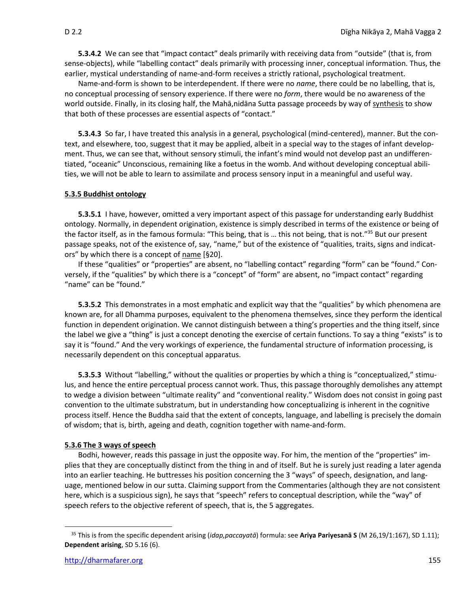**5.3.4.2** We can see that "impact contact" deals primarily with receiving data from "outside" (that is, from sense-objects), while "labelling contact" deals primarily with processing inner, conceptual information. Thus, the earlier, mystical understanding of name-and-form receives a strictly rational, psychological treatment.

Name-and-form is shown to be interdependent. If there were no *name*, there could be no labelling, that is, no conceptual processing of sensory experience. If there were no *form*, there would be no awareness of the world outside. Finally, in its closing half, the Mahā,nidāna Sutta passage proceeds by way of synthesis to show that both of these processes are essential aspects of "contact."

**5.3.4.3** So far, I have treated this analysis in a general, psychological (mind-centered), manner. But the context, and elsewhere, too, suggest that it may be applied, albeit in a special way to the stages of infant development. Thus, we can see that, without sensory stimuli, the infant's mind would not develop past an undifferentiated, "oceanic" Unconscious, remaining like a foetus in the womb. And without developing conceptual abilities, we will not be able to learn to assimilate and process sensory input in a meaningful and useful way.

### **5.3.5 Buddhist ontology**

**5.3.5.1** I have, however, omitted a very important aspect of this passage for understanding early Buddhist ontology. Normally, in dependent origination, existence is simply described in terms of the existence or being of the factor itself, as in the famous formula: "This being, that is ... this not being, that is not."<sup>35</sup> But our present passage speaks, not of the existence of, say, "name," but of the existence of "qualities, traits, signs and indicators" by which there is a concept of name [§20].

If these "qualities" or "properties" are absent, no "labelling contact" regarding "form" can be "found." Conversely, if the "qualities" by which there is a "concept" of "form" are absent, no "impact contact" regarding "name" can be "found."

**5.3.5.2** This demonstrates in a most emphatic and explicit way that the "qualities" by which phenomena are known are, for all Dhamma purposes, equivalent to the phenomena themselves, since they perform the identical function in dependent origination. We cannot distinguish between a thing's properties and the thing itself, since the label we give a "thing" is just a concept denoting the exercise of certain functions. To say a thing "exists" is to say it is "found." And the very workings of experience, the fundamental structure of information processing, is necessarily dependent on this conceptual apparatus.

**5.3.5.3** Without "labelling," without the qualities or properties by which a thing is "conceptualized," stimulus, and hence the entire perceptual process cannot work. Thus, this passage thoroughly demolishes any attempt to wedge a division between "ultimate reality" and "conventional reality." Wisdom does not consist in going past convention to the ultimate substratum, but in understanding how conceptualizing is inherent in the cognitive process itself. Hence the Buddha said that the extent of concepts, language, and labelling is precisely the domain of wisdom; that is, birth, ageing and death, cognition together with name-and-form.

### **5.3.6 The 3 ways of speech**

Bodhi, however, reads this passage in just the opposite way. For him, the mention of the "properties" implies that they are conceptually distinct from the thing in and of itself. But he is surely just reading a later agenda into an earlier teaching. He buttresses his position concerning the 3 "ways" of speech, designation, and language, mentioned below in our sutta. Claiming support from the Commentaries (although they are not consistent here, which is a suspicious sign), he says that "speech" refers to conceptual description, while the "way" of speech refers to the objective referent of speech, that is, the 5 aggregates.

<sup>35</sup> This is from the specific dependent arising (*idap,paccayatā*) formula: see **Ariya Pariyesanā S** (M 26,19/1:167), SD 1.11); **Dependent arising**, SD 5.16 (6).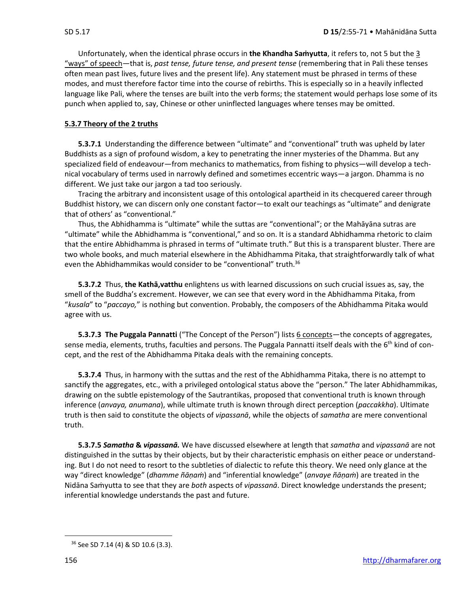Unfortunately, when the identical phrase occurs in **the Khandha Saṁyutta**, it refers to, not 5 but the 3 "ways" of speech—that is, *past tense, future tense, and present tense* (remembering that in Pali these tenses often mean past lives, future lives and the present life). Any statement must be phrased in terms of these modes, and must therefore factor time into the course of rebirths. This is especially so in a heavily inflected language like Pali, where the tenses are built into the verb forms; the statement would perhaps lose some of its punch when applied to, say, Chinese or other uninflected languages where tenses may be omitted.

### **5.3.7 Theory of the 2 truths**

**5.3.7.1** Understanding the difference between "ultimate" and "conventional" truth was upheld by later Buddhists as a sign of profound wisdom, a key to penetrating the inner mysteries of the Dhamma. But any specialized field of endeavour—from mechanics to mathematics, from fishing to physics—will develop a technical vocabulary of terms used in narrowly defined and sometimes eccentric ways—a jargon. Dhamma is no different. We just take our jargon a tad too seriously.

Tracing the arbitrary and inconsistent usage of this ontological apartheid in its checquered career through Buddhist history, we can discern only one constant factor—to exalt our teachings as "ultimate" and denigrate that of others' as "conventional."

Thus, the Abhidhamma is "ultimate" while the suttas are "conventional"; or the Mahāyāna sutras are "ultimate" while the Abhidhamma is "conventional," and so on. It is a standard Abhidhamma rhetoric to claim that the entire Abhidhamma is phrased in terms of "ultimate truth." But this is a transparent bluster. There are two whole books, and much material elsewhere in the Abhidhamma Pitaka, that straightforwardly talk of what even the Abhidhammikas would consider to be "conventional" truth.<sup>36</sup>

**5.3.7.2** Thus, **the Kathā,vatthu** enlightens us with learned discussions on such crucial issues as, say, the smell of the Buddha's excrement. However, we can see that every word in the Abhidhamma Pitaka, from "*kusala*" to "*paccayo,*" is nothing but convention. Probably, the composers of the Abhidhamma Pitaka would agree with us.

**5.3.7.3 The Puggala Pannatti** ("The Concept of the Person") lists 6 concepts—the concepts of aggregates, sense media, elements, truths, faculties and persons. The Puggala Pannatti itself deals with the 6<sup>th</sup> kind of concept, and the rest of the Abhidhamma Pitaka deals with the remaining concepts.

**5.3.7.4** Thus, in harmony with the suttas and the rest of the Abhidhamma Pitaka, there is no attempt to sanctify the aggregates, etc., with a privileged ontological status above the "person." The later Abhidhammikas, drawing on the subtle epistemology of the Sautrantikas, proposed that conventional truth is known through inference (*anvaya, anumana*), while ultimate truth is known through direct perception (*paccakkha*). Ultimate truth is then said to constitute the objects of *vipassanā*, while the objects of *samatha* are mere conventional truth.

**5.3.7.5** *Samatha* **&** *vipassanā.* We have discussed elsewhere at length that *samatha* and *vipassanā* are not distinguished in the suttas by their objects, but by their characteristic emphasis on either peace or understanding. But I do not need to resort to the subtleties of dialectic to refute this theory. We need only glance at the way "direct knowledge" (*dhamme ñāṇaṁ*) and "inferential knowledge" (*anvaye ñāṇaṁ*) are treated in the Nidāna Saṁyutta to see that they are *both* aspects of *vipassanā*. Direct knowledge understands the present; inferential knowledge understands the past and future.

<sup>36</sup> See SD 7.14 (4) & SD 10.6 (3.3).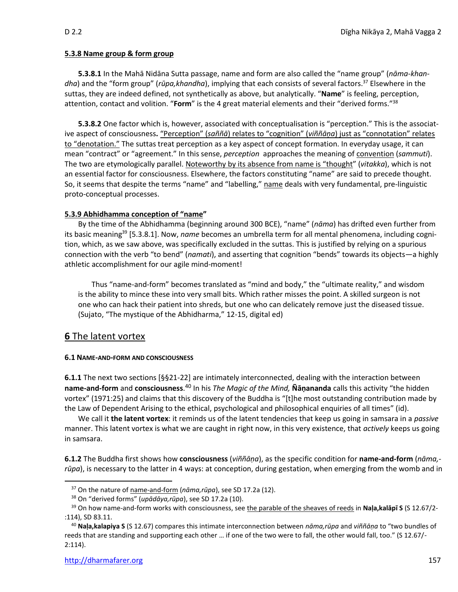### **5.3.8 Name group & form group**

**5.3.8.1** In the Mahā Nidāna Sutta passage, name and form are also called the "name group" (*nāma-khandha*) and the "form group" (*rūpa,khandha*), implying that each consists of several factors.<sup>37</sup> Elsewhere in the suttas, they are indeed defined, not synthetically as above, but analytically. "**Name**" is feeling, perception, attention, contact and volition. "**Form**" is the 4 great material elements and their "derived forms." 38

**5.3.8.2** One factor which is, however, associated with conceptualisation is "perception." This is the associative aspect of consciousness**.** "Perception" (*saññā*) relates to "cognition" (*viññāṇa*) just as "connotation" relates to "denotation." The suttas treat perception as a key aspect of concept formation. In everyday usage, it can mean "contract" or "agreement." In this sense, *perception* approaches the meaning of convention (*sammuti*). The two are etymologically parallel. Noteworthy by its absence from name is "thought" (*vitakka*), which is not an essential factor for consciousness. Elsewhere, the factors constituting "name" are said to precede thought. So, it seems that despite the terms "name" and "labelling," name deals with very fundamental, pre-linguistic proto-conceptual processes.

### **5.3.9 Abhidhamma conception of "name"**

By the time of the Abhidhamma (beginning around 300 BCE), "name" (*nāma*) has drifted even further from its basic meaning<sup>39</sup> [5.3.8.1]. Now, *name* becomes an umbrella term for all mental phenomena, including cognition, which, as we saw above, was specifically excluded in the suttas. This is justified by relying on a spurious connection with the verb "to bend" (*namati*), and asserting that cognition "bends" towards its objects—a highly athletic accomplishment for our agile mind-moment!

Thus "name-and-form" becomes translated as "mind and body," the "ultimate reality," and wisdom is the ability to mince these into very small bits. Which rather misses the point. A skilled surgeon is not one who can hack their patient into shreds, but one who can delicately remove just the diseased tissue. (Sujato, "The mystique of the Abhidharma," 12-15, digital ed)

### **6** The latent vortex

### **6.1 NAME-AND-FORM AND CONSCIOUSNESS**

**6.1.1** The next two sections [§§21-22] are intimately interconnected, dealing with the interaction between **name-and-form** and **consciousness**. <sup>40</sup> In his *The Magic of the Mind,* **Ñāṇananda** calls this activity "the hidden vortex" (1971:25) and claims that this discovery of the Buddha is "[t]he most outstanding contribution made by the Law of Dependent Arising to the ethical, psychological and philosophical enquiries of all times" (id).

We call it **the latent vortex**: it reminds us of the latent tendencies that keep us going in samsara in a *passive*  manner. This latent vortex is what we are caught in right now, in this very existence, that *actively* keeps us going in samsara.

**6.1.2** The Buddha first shows how **consciousness** (*viññāṇa*), as the specific condition for **name-and-form** (*nāma, rūpa*), is necessary to the latter in 4 ways: at conception, during gestation, when emerging from the womb and in

<sup>37</sup> On the nature of name-and-form (*nāma,rūpa*), see SD 17.2a (12).

<sup>38</sup> On "derived forms" (*upādāya,rūpa*), see SD 17.2a (10).

<sup>39</sup> On how name-and-form works with consciousness, see the parable of the sheaves of reeds in **Naḷa,kalāpī S** (S 12.67/2- :114), SD 83.11.

<sup>40</sup> **Naḷa,kalapiya S** (S 12.67) compares this intimate interconnection between *nāma,rūpa* and *viññāṇa* to "two bundles of reeds that are standing and supporting each other … if one of the two were to fall, the other would fall, too." (S 12.67/- 2:114).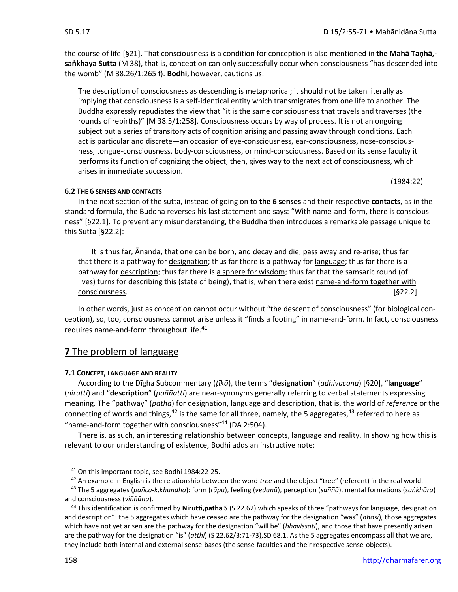the course of life [§21]. That consciousness is a condition for conception is also mentioned in **the Mahā Taṇhā, saṅkhaya Sutta** (M 38), that is, conception can only successfully occur when consciousness "has descended into the womb" (M 38.26/1:265 f). **Bodhi,** however, cautions us:

The description of consciousness as descending is metaphorical; it should not be taken literally as implying that consciousness is a self-identical entity which transmigrates from one life to another. The Buddha expressly repudiates the view that "it is the same consciousness that travels and traverses (the rounds of rebirths)" [M 38.5/1:258]. Consciousness occurs by way of process. It is not an ongoing subject but a series of transitory acts of cognition arising and passing away through conditions. Each act is particular and discrete—an occasion of eye-consciousness, ear-consciousness, nose-consciousness, tongue-consciousness, body-consciousness, or mind-consciousness. Based on its sense faculty it performs its function of cognizing the object, then, gives way to the next act of consciousness, which arises in immediate succession.

(1984:22)

### **6.2 THE 6 SENSES AND CONTACTS**

In the next section of the sutta, instead of going on to **the 6 senses** and their respective **contacts**, as in the standard formula, the Buddha reverses his last statement and says: "With name-and-form, there is consciousness" [§22.1]. To prevent any misunderstanding, the Buddha then introduces a remarkable passage unique to this Sutta [§22.2]:

It is thus far, Ānanda, that one can be born, and decay and die, pass away and re-arise; thus far that there is a pathway for designation; thus far there is a pathway for language; thus far there is a pathway for description; thus far there is a sphere for wisdom; thus far that the samsaric round (of lives) turns for describing this (state of being), that is, when there exist name-and-form together with consciousness. [§22.2]

In other words, just as conception cannot occur without "the descent of consciousness" (for biological conception), so, too, consciousness cannot arise unless it "finds a footing" in name-and-form. In fact, consciousness requires name-and-form throughout life.<sup>41</sup>

### **7** The problem of language

### **7.1 CONCEPT, LANGUAGE AND REALITY**

According to the Dīgha Subcommentary (*ṭīkā*), the terms "**designation**" (*adhivacana*) [§20], "**language**" (*nirutti*) and "**description**" (*paññatti*) are near-synonyms generally referring to verbal statements expressing meaning. The "pathway" (*patha*) for designation, language and description, that is, the world of *reference* or the connecting of words and things,  $42$  is the same for all three, namely, the 5 aggregates,  $43$  referred to here as "name-and-form together with consciousness" <sup>44</sup> (DA 2:504).

There is, as such, an interesting relationship between concepts, language and reality. In showing how this is relevant to our understanding of existence, Bodhi adds an instructive note:

<sup>&</sup>lt;sup>41</sup> On this important topic, see Bodhi 1984:22-25.

<sup>&</sup>lt;sup>42</sup> An example in English is the relationship between the word *tree* and the object "tree" (referent) in the real world.

<sup>43</sup> The 5 aggregates (*pañca-k,khandha*): form (*rūpa*), feeling (*vedanā*), perception (*saññā*), mental formations (*saṅkhāra*) and consciousness (*viññāṇa*).

<sup>44</sup> This identification is confirmed by **Nirutti,patha S** (S 22.62) which speaks of three "pathways for language, designation and description": the 5 aggregates which have ceased are the pathway for the designation "was" (*ahosi*), those aggregates which have not yet arisen are the pathway for the designation "will be" (*bhavissati*), and those that have presently arisen are the pathway for the designation "is" (*atthi*) (S 22.62/3:71-73),SD 68.1. As the 5 aggregates encompass all that we are, they include both internal and external sense-bases (the sense-faculties and their respective sense-objects).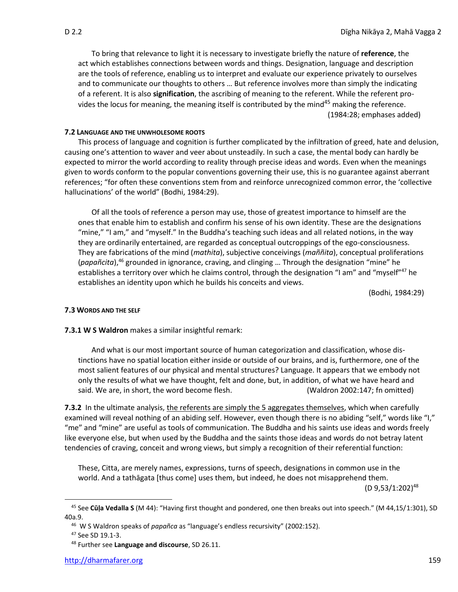To bring that relevance to light it is necessary to investigate briefly the nature of **reference**, the act which establishes connections between words and things. Designation, language and description are the tools of reference, enabling us to interpret and evaluate our experience privately to ourselves and to communicate our thoughts to others … But reference involves more than simply the indicating of a referent. It is also **signification**, the ascribing of meaning to the referent. While the referent provides the locus for meaning, the meaning itself is contributed by the mind<sup>45</sup> making the reference. (1984:28; emphases added)

### **7.2 LANGUAGE AND THE UNWHOLESOME ROOTS**

This process of language and cognition is further complicated by the infiltration of greed, hate and delusion, causing one's attention to waver and veer about unsteadily. In such a case, the mental body can hardly be expected to mirror the world according to reality through precise ideas and words. Even when the meanings given to words conform to the popular conventions governing their use, this is no guarantee against aberrant references; "for often these conventions stem from and reinforce unrecognized common error, the 'collective hallucinations' of the world" (Bodhi, 1984:29).

Of all the tools of reference a person may use, those of greatest importance to himself are the ones that enable him to establish and confirm his sense of his own identity. These are the designations "mine," "I am," and "myself." In the Buddha's teaching such ideas and all related notions, in the way they are ordinarily entertained, are regarded as conceptual outcroppings of the ego-consciousness. They are fabrications of the mind (*mathita*), subjective conceivings (*maññita*), conceptual proliferations (*papañcita*),<sup>46</sup> grounded in ignorance, craving, and clinging … Through the designation "mine" he establishes a territory over which he claims control, through the designation "I am" and "myself"<sup>47</sup> he establishes an identity upon which he builds his conceits and views.

(Bodhi, 1984:29)

### **7.3 WORDS AND THE SELF**

### **7.3.1 W S Waldron** makes a similar insightful remark:

And what is our most important source of human categorization and classification, whose distinctions have no spatial location either inside or outside of our brains, and is, furthermore, one of the most salient features of our physical and mental structures? Language. It appears that we embody not only the results of what we have thought, felt and done, but, in addition, of what we have heard and said. We are, in short, the word become flesh. (Waldron 2002:147; fn omitted)

**7.3.2** In the ultimate analysis, the referents are simply the 5 aggregates themselves, which when carefully examined will reveal nothing of an abiding self. However, even though there is no abiding "self," words like "I," "me" and "mine" are useful as tools of communication. The Buddha and his saints use ideas and words freely like everyone else, but when used by the Buddha and the saints those ideas and words do not betray latent tendencies of craving, conceit and wrong views, but simply a recognition of their referential function:

These, Citta, are merely names, expressions, turns of speech, designations in common use in the world. And a tathāgata [thus come] uses them, but indeed, he does not misapprehend them.

(D 9,53/1:202)<sup>48</sup>

<sup>45</sup> See **Cūḷa Vedalla S** (M 44): "Having first thought and pondered, one then breaks out into speech." (M 44,15/1:301), SD 40a.9.

<sup>46</sup> W S Waldron speaks of *papañca* as "language's endless recursivity" (2002:152).

<sup>47</sup> See SD 19.1-3.

<sup>48</sup> Further see **Language and discourse**, SD 26.11.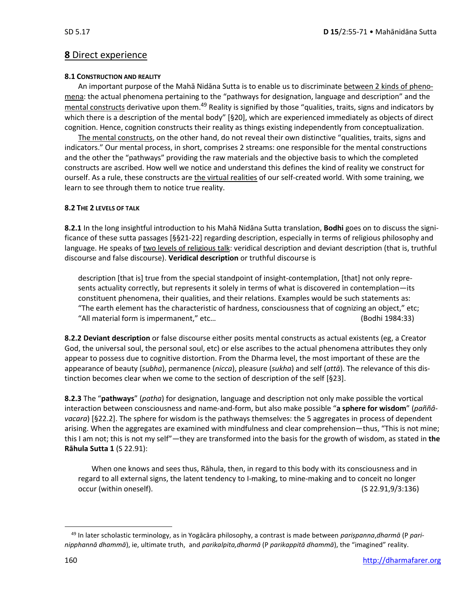### **8** Direct experience

### **8.1 CONSTRUCTION AND REALITY**

An important purpose of the Mahā Nidāna Sutta is to enable us to discriminate between 2 kinds of phenomena: the actual phenomena pertaining to the "pathways for designation, language and description" and the mental constructs derivative upon them.<sup>49</sup> Reality is signified by those "qualities, traits, signs and indicators by which there is a description of the mental body" [§20], which are experienced immediately as objects of direct cognition. Hence, cognition constructs their reality as things existing independently from conceptualization.

The mental constructs, on the other hand, do not reveal their own distinctive "qualities, traits, signs and indicators." Our mental process, in short, comprises 2 streams: one responsible for the mental constructions and the other the "pathways" providing the raw materials and the objective basis to which the completed constructs are ascribed. How well we notice and understand this defines the kind of reality we construct for ourself. As a rule, these constructs are the virtual realities of our self-created world. With some training, we learn to see through them to notice true reality.

### **8.2 THE 2 LEVELS OF TALK**

**8.2.1** In the long insightful introduction to his Mahā Nidāna Sutta translation, **Bodhi** goes on to discuss the significance of these sutta passages [§§21-22] regarding description, especially in terms of religious philosophy and language. He speaks of two levels of religious talk: veridical description and deviant description (that is, truthful discourse and false discourse). **Veridical description** or truthful discourse is

description [that is] true from the special standpoint of insight-contemplation, [that] not only represents actuality correctly, but represents it solely in terms of what is discovered in contemplation—its constituent phenomena, their qualities, and their relations. Examples would be such statements as: "The earth element has the characteristic of hardness, consciousness that of cognizing an object," etc; "All material form is impermanent," etc… (Bodhi 1984:33)

**8.2.2 Deviant description** or false discourse either posits mental constructs as actual existents (eg, a Creator God, the universal soul, the personal soul, etc) or else ascribes to the actual phenomena attributes they only appear to possess due to cognitive distortion. From the Dharma level, the most important of these are the appearance of beauty (*subha*), permanence (*nicca*), pleasure (*sukha*) and self (*attā*). The relevance of this distinction becomes clear when we come to the section of description of the self [§23].

**8.2.3** The "**pathways**" (*patha*) for designation, language and description not only make possible the vortical interaction between consciousness and name-and-form, but also make possible "**a sphere for wisdom**" (*paññâvacara*) [§22.2]. The sphere for wisdom is the pathways themselves: the 5 aggregates in process of dependent arising. When the aggregates are examined with mindfulness and clear comprehension—thus, "This is not mine; this I am not; this is not my self"—they are transformed into the basis for the growth of wisdom, as stated in **the Rāhula Sutta 1** (S 22.91):

When one knows and sees thus, Rāhula, then, in regard to this body with its consciousness and in regard to all external signs, the latent tendency to I-making, to mine-making and to conceit no longer occur (within oneself). (S 22.91,9/3:136)

<sup>49</sup> In later scholastic terminology, as in Yogācāra philosophy, a contrast is made between *pariṣpanna*,*dharmā* (P *parinipphannā dhammā*), ie, ultimate truth, and *parikalpita,dharmā* (P *parikappitā dhammā*), the "imagined" reality.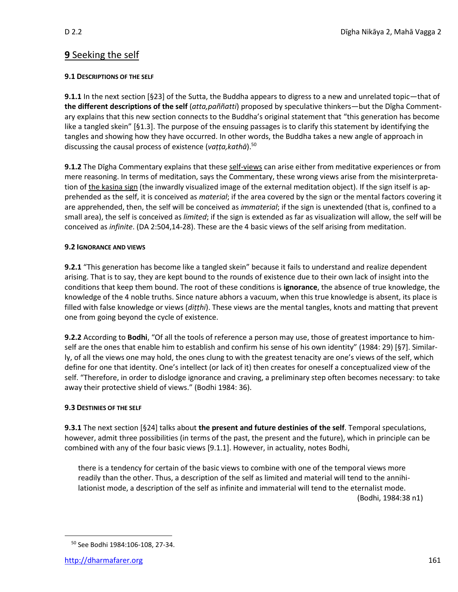## **9** Seeking the self

### **9.1 DESCRIPTIONS OF THE SELF**

**9.1.1** In the next section [§23] of the Sutta, the Buddha appears to digress to a new and unrelated topic—that of **the different descriptions of the self** (*atta,paññatti*) proposed by speculative thinkers—but the Dīgha Commentary explains that this new section connects to the Buddha's original statement that "this generation has become like a tangled skein" [§1.3]. The purpose of the ensuing passages is to clarify this statement by identifying the tangles and showing how they have occurred. In other words, the Buddha takes a new angle of approach in discussing the causal process of existence (*vaṭṭa,kathā*). 50

**9.1.2** The Dīgha Commentary explains that these self-views can arise either from meditative experiences or from mere reasoning. In terms of meditation, says the Commentary, these wrong views arise from the misinterpretation of the kasiṇa sign (the inwardly visualized image of the external meditation object). If the sign itself is apprehended as the self, it is conceived as *material*; if the area covered by the sign or the mental factors covering it are apprehended, then, the self will be conceived as *immaterial*; if the sign is unextended (that is, confined to a small area), the self is conceived as *limited*; if the sign is extended as far as visualization will allow, the self will be conceived as *infinite*. (DA 2:504,14-28). These are the 4 basic views of the self arising from meditation.

### **9.2 IGNORANCE AND VIEWS**

**9.2.1** "This generation has become like a tangled skein" because it fails to understand and realize dependent arising. That is to say, they are kept bound to the rounds of existence due to their own lack of insight into the conditions that keep them bound. The root of these conditions is **ignorance**, the absence of true knowledge, the knowledge of the 4 noble truths. Since nature abhors a vacuum, when this true knowledge is absent, its place is filled with false knowledge or views (*diṭṭhi*). These views are the mental tangles, knots and matting that prevent one from going beyond the cycle of existence.

**9.2.2** According to **Bodhi**, "Of all the tools of reference a person may use, those of greatest importance to himself are the ones that enable him to establish and confirm his sense of his own identity" (1984: 29) [§7]. Similarly, of all the views one may hold, the ones clung to with the greatest tenacity are one's views of the self, which define for one that identity. One's intellect (or lack of it) then creates for oneself a conceptualized view of the self. "Therefore, in order to dislodge ignorance and craving, a preliminary step often becomes necessary: to take away their protective shield of views." (Bodhi 1984: 36).

### **9.3 DESTINIES OF THE SELF**

**9.3.1** The next section [§24] talks about **the present and future destinies of the self**. Temporal speculations, however, admit three possibilities (in terms of the past, the present and the future), which in principle can be combined with any of the four basic views [9.1.1]. However, in actuality, notes Bodhi,

there is a tendency for certain of the basic views to combine with one of the temporal views more readily than the other. Thus, a description of the self as limited and material will tend to the annihilationist mode, a description of the self as infinite and immaterial will tend to the eternalist mode. (Bodhi, 1984:38 n1)

<sup>50</sup> See Bodhi 1984:106-108, 27-34.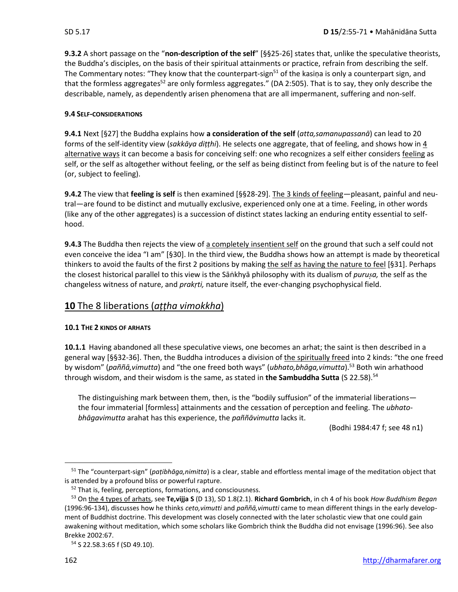**9.3.2** A short passage on the "**non-description of the self**" [§§25-26] states that, unlike the speculative theorists, the Buddha's disciples, on the basis of their spiritual attainments or practice, refrain from describing the self. The Commentary notes: "They know that the counterpart-sign<sup>51</sup> of the kasiņa is only a counterpart sign, and that the formless aggregates<sup>52</sup> are only formless aggregates." (DA 2:505). That is to say, they only describe the describable, namely, as dependently arisen phenomena that are all impermanent, suffering and non-self.

### **9.4 SELF-CONSIDERATIONS**

**9.4.1** Next [§27] the Buddha explains how **a consideration of the self** (*atta,samanupassanā*) can lead to 20 forms of the self-identity view (*sakkāya diṭṭhi*). He selects one aggregate, that of feeling, and shows how in 4 alternative ways it can become a basis for conceiving self: one who recognizes a self either considers feeling as self, or the self as altogether without feeling, or the self as being distinct from feeling but is of the nature to feel (or, subject to feeling).

**9.4.2** The view that **feeling is self** is then examined [§§28-29]. The 3 kinds of feeling—pleasant, painful and neutral—are found to be distinct and mutually exclusive, experienced only one at a time. Feeling, in other words (like any of the other aggregates) is a succession of distinct states lacking an enduring entity essential to selfhood.

**9.4.3** The Buddha then rejects the view of a completely insentient self on the ground that such a self could not even conceive the idea "I am" [§30]. In the third view, the Buddha shows how an attempt is made by theoretical thinkers to avoid the faults of the first 2 positions by making the self as having the nature to feel [§31]. Perhaps the closest historical parallel to this view is the Sāṅkhyā philosophy with its dualism of *purua,* the self as the changeless witness of nature, and *prakṛti,* nature itself, the ever-changing psychophysical field.

### **10** The 8 liberations (*aṭṭha vimokkha*)

### **10.1 THE 2 KINDS OF ARHATS**

**10.1.1** Having abandoned all these speculative views, one becomes an arhat; the saint is then described in a general way [§§32-36]. Then, the Buddha introduces a division of the spiritually freed into 2 kinds: "the one freed by wisdom" (*paññā,vimutta*) and "the one freed both ways" (*ubhato,bhāga,vimutta*).<sup>53</sup> Both win arhathood through wisdom, and their wisdom is the same, as stated in **the Sambuddha Sutta** (S 22.58).<sup>54</sup>

The distinguishing mark between them, then, is the "bodily suffusion" of the immaterial liberations the four immaterial [formless] attainments and the cessation of perception and feeling. The *ubhatobhāgavimutta* arahat has this experience, the *paññāvimutta* lacks it.

(Bodhi 1984:47 f; see 48 n1)

<sup>51</sup> The "counterpart-sign" (*paṭibhāga,nimitta*) is a clear, stable and effortless mental image of the meditation object that is attended by a profound bliss or powerful rapture.

<sup>&</sup>lt;sup>52</sup> That is, feeling, perceptions, formations, and consciousness.

<sup>53</sup> On the 4 types of arhats, see **Te,vijja S** (D 13), SD 1.8(2.1). **Richard Gombrich**, in ch 4 of his book *How Buddhism Began* (1996:96-134), discusses how he thinks *ceto,vimutti* and *paññā,vimutti* came to mean different things in the early development of Buddhist doctrine. This development was closely connected with the later scholastic view that one could gain awakening without meditation, which some scholars like Gombrich think the Buddha did not envisage (1996:96). See also Brekke 2002:67.

<sup>54</sup> S 22.58.3:65 f (SD 49.10).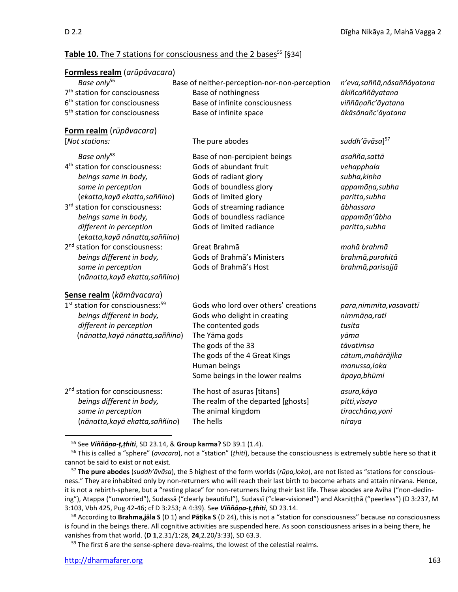### Table 10. The 7 stations for consciousness and the 2 bases<sup>55</sup> [§34]

| Formless realm (arūpâvacara)                                                                                                                                                                                                                                                                                                                                                                                      |                                                                                                                                                                                                                                                                                                     |                                                                                                                                                                                         |
|-------------------------------------------------------------------------------------------------------------------------------------------------------------------------------------------------------------------------------------------------------------------------------------------------------------------------------------------------------------------------------------------------------------------|-----------------------------------------------------------------------------------------------------------------------------------------------------------------------------------------------------------------------------------------------------------------------------------------------------|-----------------------------------------------------------------------------------------------------------------------------------------------------------------------------------------|
| Base only <sup>56</sup><br>7 <sup>th</sup> station for consciousness<br>6 <sup>th</sup> station for consciousness<br>5 <sup>th</sup> station for consciousness                                                                                                                                                                                                                                                    | Base of neither-perception-nor-non-perception<br>Base of nothingness<br>Base of infinite consciousness<br>Base of infinite space                                                                                                                                                                    | n'eva, saññā, nâsaññâyatana<br>ākiñcaññâyatana<br>viññāņañc'āyatana<br>ākāsānañc'āyatana                                                                                                |
| Form realm (rūpâvacara)                                                                                                                                                                                                                                                                                                                                                                                           |                                                                                                                                                                                                                                                                                                     |                                                                                                                                                                                         |
| [Not stations:                                                                                                                                                                                                                                                                                                                                                                                                    | The pure abodes                                                                                                                                                                                                                                                                                     | suddh'āvāsa] <sup>57</sup>                                                                                                                                                              |
| Base only <sup>58</sup><br>4 <sup>th</sup> station for consciousness:<br>beings same in body,<br>same in perception<br>(ekatta, kayā ekatta, saññino)<br>3rd station for consciousness:<br>beings same in body,<br>different in perception<br>(ekatta, kayā nānatta, saññino)<br>2 <sup>nd</sup> station for consciousness:<br>beings different in body,<br>same in perception<br>(nānatta, kayā ekatta, saññino) | Base of non-percipient beings<br>Gods of abundant fruit<br>Gods of radiant glory<br>Gods of boundless glory<br>Gods of limited glory<br>Gods of streaming radiance<br>Gods of boundless radiance<br>Gods of limited radiance<br>Great Brahmā<br>Gods of Brahma's Ministers<br>Gods of Brahma's Host | asañña, sattā<br>vehapphala<br>subha, kinha<br>appamāņa, subha<br>paritta, subha<br>ābhassara<br>appamāņ'ābha<br>paritta, subha<br>mahā brahmā<br>brahmā, purohitā<br>brahmā, parisajjā |
| Sense realm (kāmâvacara)<br>1 <sup>st</sup> station for consciousness: <sup>59</sup><br>beings different in body,<br>different in perception<br>(nānatta, kayā nānatta, saññino)                                                                                                                                                                                                                                  | Gods who lord over others' creations<br>Gods who delight in creating<br>The contented gods<br>The Yāma gods<br>The gods of the 33<br>The gods of the 4 Great Kings<br>Human beings<br>Some beings in the lower realms                                                                               | para, nimmita, vasavattī<br>nimmāņa,ratī<br>tusita<br>yāma<br>tāvatimsa<br>cātum, mahārājika<br>manussa, loka<br>āpaya, bhūmi                                                           |
| 2 <sup>nd</sup> station for consciousness:<br>beings different in body,<br>same in perception<br>(nānatta, kayā ekatta, saññino)                                                                                                                                                                                                                                                                                  | The host of asuras [titans]<br>The realm of the departed [ghosts]<br>The animal kingdom<br>The hells                                                                                                                                                                                                | asura, kāya<br>pitti, visaya<br>tiracchāna, yoni<br>niraya                                                                                                                              |

<sup>55</sup> See *Viññāṇa-ṭ,ṭhiti*, SD 23.14, & **Group karma?** SD 39.1 (1.4).

 $59$  The first 6 are the sense-sphere deva-realms, the lowest of the celestial realms.

<sup>56</sup> This is called a "sphere" (*avacara*), not a "station" (*ṭhiti*), because the consciousness is extremely subtle here so that it cannot be said to exist or not exist.

<sup>57</sup> **The pure abodes** (*suddh'āvāsa*), the 5 highest of the form worlds (*rūpa,loka*), are not listed as "stations for consciousness." They are inhabited only by non-returners who will reach their last birth to become arhats and attain nirvana. Hence, it is not a rebirth-sphere, but a "resting place" for non-returners living their last life. These abodes are Aviha ("non-declining"), Atappa ("unworried"), Sudassā ("clearly beautiful"), Sudassī ("clear-visioned") and Akaṇiṭṭhā ("peerless") (D 3:237, M 3:103, Vbh 425, Pug 42-46; cf D 3:253; A 4:39). See *Viññāṇa-ṭ,ṭhiti*, SD 23.14.

<sup>58</sup> According to **Brahma,jāla S** (D 1) and **Pāṭika S** (D 24), this is not a "station for consciousness" because *no* consciousness is found in the beings there. All cognitive activities are suspended here. As soon consciousness arises in a being there, he vanishes from that world. (**D 1**,2.31/1:28, **24**,2.20/3:33), SD 63.3.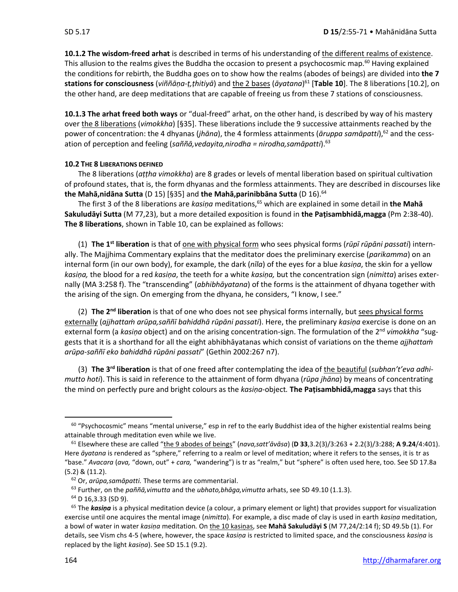**10.1.2 The wisdom-freed arhat** is described in terms of his understanding of the different realms of existence. This allusion to the realms gives the Buddha the occasion to present a psychocosmic map.<sup>60</sup> Having explained the conditions for rebirth, the Buddha goes on to show how the realms (abodes of beings) are divided into **the 7 stations for consciousness** (*viññāṇa-ṭ,ṭhitiyā*) and the 2 bases (*āyatana*) <sup>61</sup> [**Table 10**]. The 8 liberations [10.2], on the other hand, are deep meditations that are capable of freeing us from these 7 stations of consciousness.

**10.1.3 The arhat freed both ways** or "dual-freed" arhat, on the other hand, is described by way of his mastery over the 8 liberations (*vimokkha*) [§35]. These liberations include the 9 successive attainments reached by the power of concentration: the 4 dhyanas (*jhāna*), the 4 formless attainments (*āruppa samāpatti*),<sup>62</sup> and the cessation of perception and feeling (*saññā,vedayita,nirodha = nirodha,samāpatti*).<sup>63</sup>

### **10.2 THE 8 LIBERATIONS DEFINED**

The 8 liberations (*aṭṭha vimokkha*) are 8 grades or levels of mental liberation based on spiritual cultivation of profound states, that is, the form dhyanas and the formless attainments. They are described in discourses like **the Mahā,nidāna Sutta** (D 15) [§35] and **the Mahā,parinibbāna Sutta** (D 16).<sup>64</sup>

The first 3 of the 8 liberations are *kasiṇa* meditations,<sup>65</sup> which are explained in some detail in **the Mahā Sakuludāyi Sutta** (M 77,23), but a more detailed exposition is found in **the Paṭisambhidā,magga** (Pm 2:38-40). **The 8 liberations**, shown in Table 10, can be explained as follows:

(1) **The 1st liberation** is that of one with physical form who sees physical forms (*rūpī rūpāni passati*) internally. The Majjhima Commentary explains that the meditator does the preliminary exercise (*parikamma*) on an internal form (in our own body), for example, the dark (*nīla*) of the eyes for a blue *kasiṇa*, the skin for a yellow *kasiṇa,* the blood for a red *kasiṇa*, the teeth for a white *kasiṇa,* but the concentration sign (*nimitta*) arises externally (MA 3:258 f). The "transcending" (*abhibhāyatana*) of the forms is the attainment of dhyana together with the arising of the sign. On emerging from the dhyana, he considers, "I know, I see."

(2) **The 2nd liberation** is that of one who does not see physical forms internally, but sees physical forms externally (*ajjhattaṁ arūpa,saññī bahiddhā rūpāni passati*). Here, the preliminary *kasiṇa* exercise is done on an external form (a *kasiṇa* object) and on the arising concentration-sign. The formulation of the 2<sup>nd</sup> vimokkha "suggests that it is a shorthand for all the eight abhibhāyatanas which consist of variations on the theme *ajjhattaṁ arūpa-saññī eko bahiddhā rūpāni passati*" (Gethin 2002:267 n7).

(3) **The 3rd liberation** is that of one freed after contemplating the idea of the beautiful (*subhan't'eva adhimutto hoti*). This is said in reference to the attainment of form dhyana (*rūpa jhāna*) by means of concentrating the mind on perfectly pure and bright colours as the *kasiṇa*-object*.* **The Paṭisambhidā,magga** says that this

<sup>&</sup>lt;sup>60</sup> "Psychocosmic" means "mental universe," esp in ref to the early Buddhist idea of the higher existential realms being attainable through meditation even while we live.

<sup>61</sup> Elsewhere these are called "the 9 abodes of beings" (*nava,satt'āvāsa*) (**D 33**,3.2(3)/3:263 + 2.2(3)/3:288; **A 9.24**/4:401). Here *āyatana* is rendered as "sphere," referring to a realm or level of meditation; where it refers to the senses, it is tr as "base." *Avacara* (*ava,* "down, out" + *cara,* "wandering") is tr as "realm," but "sphere" is often used here, too. See SD 17.8a (5.2) & (11.2).

<sup>62</sup> Or, *arūpa,samāpatti.* These terms are commentarial.

<sup>63</sup> Further, on the *paññā,vimutta* and the *ubhato,bhāga,vimutta* arhats, see SD 49.10 (1.1.3).

 $64$  D 16,3.33 (SD 9).

<sup>65</sup> The *kasiṇa* is a physical meditation device (a colour, a primary element or light) that provides support for visualization exercise until one acquires the mental image (*nimitta*). For example, a disc made of clay is used in earth *kasiṇa* meditation, a bowl of water in water *kasiṇa* meditation*.* On the 10 kasiṇas, see **Mahā Sakuludāyi S** (M 77,24/2:14 f); SD 49.5b (1). For details, see Vism chs 4-5 (where, however, the space *kasiṇa* is restricted to limited space, and the consciousness *kasiṇa* is replaced by the light *kasiṇa*). See SD 15.1 (9.2).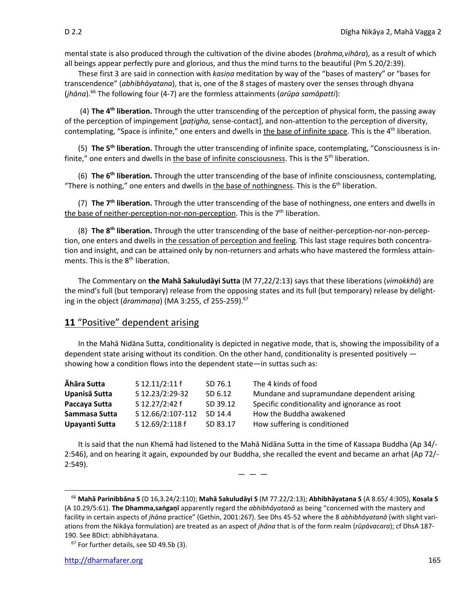mental state is also produced through the cultivation of the divine abodes (*brahma,vihāra*), as a result of which all beings appear perfectly pure and glorious, and thus the mind turns to the beautiful (Pm 5.20/2:39).

These first 3 are said in connection with *kasiṇa* meditation by way of the "bases of mastery" or "bases for transcendence" (*abhibhāyatana*), that is, one of the 8 stages of mastery over the senses through dhyana (*jhāna*).<sup>66</sup> The following four (4-7) are the formless attainments (*arūpa samāpatti*):

(4) **The 4th liberation.** Through the utter transcending of the perception of physical form, the passing away of the perception of impingement [*paṭigha,* sense-contact], and non-attention to the perception of diversity, contemplating, "Space is infinite," one enters and dwells in the base of infinite space. This is the 4<sup>th</sup> liberation.

(5) **The 5th liberation.** Through the utter transcending of infinite space, contemplating, "Consciousness is infinite," one enters and dwells in the base of infinite consciousness. This is the 5<sup>th</sup> liberation.

(6) **The 6th liberation.** Through the utter transcending of the base of infinite consciousness, contemplating, "There is nothing," one enters and dwells in the base of nothingness. This is the  $6<sup>th</sup>$  liberation.

(7) **The 7th liberation.** Through the utter transcending of the base of nothingness, one enters and dwells in the base of neither-perception-nor-non-perception. This is the 7<sup>th</sup> liberation.

(8) **The 8th liberation.** Through the utter transcending of the base of neither-perception-nor-non-perception, one enters and dwells in the cessation of perception and feeling. This last stage requires both concentration and insight, and can be attained only by non-returners and arhats who have mastered the formless attainments. This is the  $8<sup>th</sup>$  liberation.

The Commentary on **the Mahā Sakuludāyi Sutta** (M 77,22/2:13) says that these liberations (*vimokkhā*) are the mind's full (but temporary) release from the opposing states and its full (but temporary) release by delighting in the object (*ārammaṇa*) (MA 3:255, cf 255-259).<sup>67</sup>

# **11** "Positive" dependent arising

In the Mahā Nidāna Sutta, conditionality is depicted in negative mode, that is, showing the impossibility of a dependent state arising without its condition. On the other hand, conditionality is presented positively  $$ showing how a condition flows into the dependent state—in suttas such as:

| Āhāra Sutta    | S 12.11/2:11 f    | SD 76.1  | The 4 kinds of food                           |
|----------------|-------------------|----------|-----------------------------------------------|
| Upanisā Sutta  | S 12.23/2:29-32   | SD 6.12  | Mundane and supramundane dependent arising    |
| Paccaya Sutta  | S 12.27/2:42 f    | SD 39.12 | Specific conditionality and ignorance as root |
| Sammasa Sutta  | S 12.66/2:107-112 | SD 14.4  | How the Buddha awakened                       |
| Upayanti Sutta | S 12.69/2:118 f   | SD 83.17 | How suffering is conditioned                  |

It is said that the nun Khemā had listened to the Mahā Nidāna Sutta in the time of Kassapa Buddha (Ap 34/- 2:546), and on hearing it again, expounded by our Buddha, she recalled the event and became an arhat (Ap 72/- 2:549).

 $-$ 

<sup>66</sup> **Mahā Parinibbāna S** (D 16,3.24/2:110); **Mahā Sakuludāyi S** (M 77.22/2:13); **Abhibhāyatana S** (A 8.65/ 4:305), **Kosala S**  (A 10.29/5:61). **The Dhamma,saṅgaṇī** apparently regard the *abhibhāyatanā* as being "concerned with the mastery and facility in certain aspects of *jhāna* practice" (Gethin, 2001:267). See Dhs 45-52 where the 8 *abhibhāyatanā* (with slight variations from the Nikāya formulation) are treated as an aspect of *jhāna* that is of the form realm (*rūpāvacara*); cf DhsA 187- 190. See BDict: abhibhāyatana.

 $67$  For further details, see SD 49.5b (3).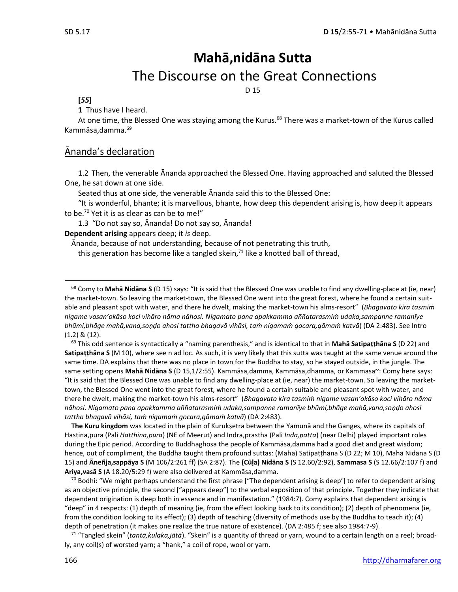# **Mahā,nidāna Sutta** The Discourse on the Great Connections

D 15

### **[***55***]**

**1** Thus have I heard.

At one time, the Blessed One was staying among the Kurus.<sup>68</sup> There was a market-town of the Kurus called Kammāsa,damma.<sup>69</sup>

### Ānanda's declaration

1.2 Then, the venerable Ānanda approached the Blessed One. Having approached and saluted the Blessed One, he sat down at one side.

Seated thus at one side, the venerable Ānanda said this to the Blessed One:

"It is wonderful, bhante; it is marvellous, bhante, how deep this dependent arising is, how deep it appears to be.<sup>70</sup> Yet it is as clear as can be to me!"

1.3 "Do not say so, Ānanda! Do not say so, Ānanda!

**Dependent arising** appears deep; it *is* deep.

Ānanda, because of not understanding, because of not penetrating this truth,

this generation has become like a tangled skein, $<sup>71</sup>$  like a knotted ball of thread,</sup>

<sup>69</sup> This odd sentence is syntactically a "naming parenthesis," and is identical to that in **Mahā Satipaṭṭhāna S** (D 22) and **Satipaṭṭhāna S** (M 10), where see n ad loc. As such, it is very likely that this sutta was taught at the same venue around the same time. DA explains that there was no place in town for the Buddha to stay, so he stayed outside, in the jungle. The same setting opens **Mahā Nidāna S** (D 15,1/2:55). Kammāsa,damma, Kammāsa,dhamma, or Kammasa~: Comy here says: "It is said that the Blessed One was unable to find any dwelling-place at (ie, near) the market-town. So leaving the markettown, the Blessed One went into the great forest, where he found a certain suitable and pleasant spot with water, and there he dwelt, making the market-town his alms-resort" (*Bhagavato kira tasmiṁ nigame vasan'okāso koci vihāro nāma nâhosi. Nigamato pana apakkamma aññatarasmiṁ udaka,sampanne ramanīye bhūmi,bhāge mahā,vana,soṇḍo ahosi tattha bhagavā vihāsi, taṁ nigamaṁ gocara,gāmaṁ katvā*) (DA 2:483).

**The Kuru kingdom** was located in the plain of Kurukṣetra between the Yamunā and the Ganges, where its capitals of Hastina,pura (Pali *Hatthina,pura*) (NE of Meerut) and Indra,prastha (Pali *Inda,patta*) (near Delhi) played important roles during the Epic period. According to Buddhaghosa the people of Kammāsa,damma had a good diet and great wisdom; hence, out of compliment, the Buddha taught them profound suttas: (Mahā) Satipaṭṭhāna S (D 22; M 10), Mahā Nidāna S (D 15) and **Āneñja,sappāya S** (M 106/2:261 ff) (SA 2:87). The **(Cūḷa) Nidāna S** (S 12.60/2:92), **Sammasa S** (S 12.66/2:107 f) and **Ariya,vasā S** (A 18.20/5:29 f) were also delivered at Kammāsa,damma.

 $70$  Bodhi: "We might perhaps understand the first phrase ["The dependent arising is deep'] to refer to dependent arising as an objective principle, the second ["appears deep"] to the verbal exposition of that principle. Together they indicate that dependent origination is deep both in essence and in manifestation." (1984:7). Comy explains that dependent arising is "deep" in 4 respects: (1) depth of meaning (ie, from the effect looking back to its condition); (2) depth of phenomena (ie, from the condition looking to its effect); (3) depth of teaching (diversity of methods use by the Buddha to teach it); (4) depth of penetration (it makes one realize the true nature of existence). (DA 2:485 f; see also 1984:7-9).

<sup>71</sup> "Tangled skein" (*tantā,kulaka,jātā*). "Skein" is a quantity of thread or yarn, wound to a certain length on a reel; broadly, any coil(s) of worsted yarn; a "hank," a coil of rope, wool or yarn.

<sup>68</sup> Comy to **Mahā Nidāna S** (D 15) says: "It is said that the Blessed One was unable to find any dwelling-place at (ie, near) the market-town. So leaving the market-town, the Blessed One went into the great forest, where he found a certain suitable and pleasant spot with water, and there he dwelt, making the market-town his alms-resort" (*Bhagavato kira tasmiṁ nigame vasan'okāso koci vihāro nāma nâhosi. Nigamato pana apakkamma aññatarasmiṁ udaka,sampanne ramanīye bhūmi,bhāge mahā,vana,soṇḍo ahosi tattha bhagavā vihāsi, taṁ nigamaṁ gocara,gāmaṁ katvā*) (DA 2:483). See Intro (1.2) & (12).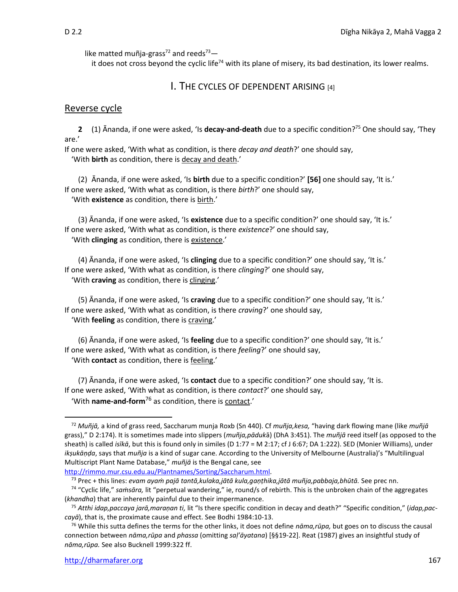like matted muñja-grass<sup>72</sup> and reeds<sup>73</sup> —

it does not cross beyond the cyclic life<sup>74</sup> with its plane of misery, its bad destination, its lower realms.

### I. THE CYCLES OF DEPENDENT ARISING [4]

### Reverse cycle

**2** (1) Ānanda, if one were asked, 'Is **decay-and-death** due to a specific condition?<sup>75</sup> One should say, 'They are.'

If one were asked, 'With what as condition, is there *decay and death*?' one should say, 'With **birth** as condition, there is decay and death.'

(2) Ānanda, if one were asked, 'Is **birth** due to a specific condition?' **[56]** one should say, 'It is.' If one were asked, 'With what as condition, is there *birth*?' one should say, 'With **existence** as condition, there is birth.'

(3) Ānanda, if one were asked, 'Is **existence** due to a specific condition?' one should say, 'It is.' If one were asked, 'With what as condition, is there *existence*?' one should say, 'With **clinging** as condition, there is existence.'

(4) Ānanda, if one were asked, 'Is **clinging** due to a specific condition?' one should say, 'It is.' If one were asked, 'With what as condition, is there *clinging*?' one should say, 'With **craving** as condition, there is clinging.'

(5) Ānanda, if one were asked, 'Is **craving** due to a specific condition?' one should say, 'It is.' If one were asked, 'With what as condition, is there *craving*?' one should say, 'With **feeling** as condition, there is craving.'

(6) Ānanda, if one were asked, 'Is **feeling** due to a specific condition?' one should say, 'It is.' If one were asked, 'With what as condition, is there *feeling*?' one should say,

'With **contact** as condition, there is feeling.'

(7) Ānanda, if one were asked, 'Is **contact** due to a specific condition?' one should say, 'It is. If one were asked, 'With what as condition, is there *contact*?' one should say, 'With **name-and-form**<sup>76</sup> as condition, there is contact.'

<sup>72</sup> *Muñjā,* a kind of grass reed, Saccharum munja Roxb (Sn 440). Cf *muñja,kesa,* "having dark flowing mane (like *muñjā* grass)," D 2:174). It is sometimes made into slippers (*muñja,pāduk*ā) (DhA 3:451). The *muñjā* reed itself (as opposed to the sheath) is called *isīkā*, but this is found only in similes (D 1:77 = M 2:17; cf J 6:67; DA 1:222). SED (Monier Williams), under *ikṣukāṇḍa*, says that *muñja* is a kind of sugar cane. According to the University of Melbourne (Australia)'s "Multilingual Multiscript Plant Name Database," *muñjā* is the Bengal cane, see

[http://rimmo.mur.csu.edu.au/Plantnames/Sorting/Saccharum.html.](http://rimmo.mur.csu.edu.au/Plantnames/Sorting/Saccharum.html)

<sup>73</sup> Prec + this lines: *evam ayaṁ pajā tantā,kulaka,jātā kula,gaṇṭhika,jātā muñja,pabbaja,bhūtā.* See prec nn.

<sup>&</sup>lt;sup>74</sup> "Cyclic life," samsāra, lit "perpetual wandering," ie, round/s of rebirth. This is the unbroken chain of the aggregates (*khandha*) that are inherently painful due to their impermanence.

<sup>75</sup> *Atthi idap,paccaya jarā,maraṇan ti,* lit "Is there specific condition in decay and death?" "Specific condition," (*idap,paccayā*), that is, the proximate cause and effect. See Bodhi 1984:10-13.

<sup>76</sup> While this sutta defines the terms for the other links, it does not define *nāma,rūpa,* but goes on to discuss the causal connection between *nāma,rūpa* and *phassa* (omitting *saḷ'āyatana*) [§§19-22]. Reat (1987) gives an insightful study of *nāma,rūpa.* See also Bucknell 1999:322 ff.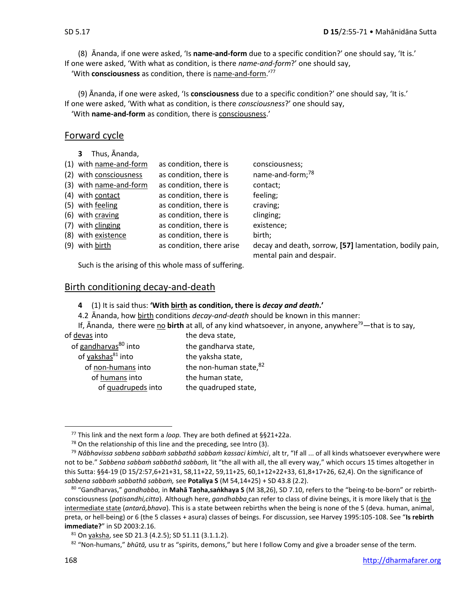(8) Ānanda, if one were asked, 'Is **name-and-form** due to a specific condition?' one should say, 'It is.' If one were asked, 'With what as condition, is there *name-and-form*?' one should say,

'With **consciousness** as condition, there is name-and-form.'<sup>77</sup>

(9) Ānanda, if one were asked, 'Is **consciousness** due to a specific condition?' one should say, 'It is.' If one were asked, 'With what as condition, is there *consciousness*?' one should say,

'With **name-and-form** as condition, there is consciousness.'

### Forward cycle

**3** Thus, Ānanda,

| (1) with name-and-form | as condition, there is    | consciousness;                                          |
|------------------------|---------------------------|---------------------------------------------------------|
| (2) with consciousness | as condition, there is    | name-and-form; <sup>78</sup>                            |
| (3) with name-and-form | as condition, there is    | contact;                                                |
| (4) with contact       | as condition, there is    | feeling;                                                |
| (5) with feeling       | as condition, there is    | craving;                                                |
| (6) with craving       | as condition, there is    | clinging;                                               |
| (7) with clinging      | as condition, there is    | existence;                                              |
| (8) with existence     | as condition, there is    | birth;                                                  |
| (9) with birth         | as condition, there arise | decay and death, sorrow, [57] lamentation, bodily pain, |
|                        |                           | mental pain and despair.                                |

Such is the arising of this whole mass of suffering.

### Birth conditioning decay-and-death

- **4** (1) It is said thus: **'With birth as condition, there is** *decay and death***.'**
- 4.2 Ānanda, how birth conditions *decay-and-death* should be known in this manner:

If, Ananda, there were no **birth** at all, of any kind whatsoever, in anyone, anywhere<sup>79</sup>—that is to say,

- of gandharvas $^{80}$  into the gandharva state, of yakshas $^{81}$  into the yaksha state, of humans into the human state,
- of devas into the deva state, of non-humans into the non-human state, $82$ of quadrupeds into the quadruped state,

<sup>77</sup> This link and the next form a *loop.* They are both defined at §§21+22a.

 $78$  On the relationship of this line and the preceding, see Intro (3).

<sup>79</sup> *Nâbhavissa sabbena sabbaṁ sabbathā sabbaṁ kassaci kimhici*, alt tr, "If all ... of all kinds whatsoever everywhere were not to be." *Sabbena sabbaṁ sabbathā sabbaṁ,* lit "the all with all, the all every way," which occurs 15 times altogether in this Sutta: §§4-19 (D 15/2:57,6+21+31, 58,11+22, 59,11+25, 60,1+12+22+33, 61,8+17+26, 62,4). On the significance of *sabbena sabbaṁ sabbathā sabbaṁ,* see **Potaliya S** (M 54,14+25) + SD 43.8 (2.2).

<sup>80</sup> "Gandharvas," *gandhabba,* in **Mahā Taṇha,saṅkhaya S** (M 38,26), SD 7.10, refers to the "being-to be-born" or rebirthconsciousness (*paṭisandhi,citta*). Although here, *gandhabba* can refer to class of divine beings, it is more likely that is the intermediate state (*antarā,bhava*). This is a state between rebirths when the being is none of the 5 (deva. human, animal, preta, or hell-being) or 6 (the 5 classes + asura) classes of beings. For discussion, see Harvey 1995:105-108. See "**Is rebirth immediate?**" in SD 2003:2.16.

<sup>81</sup> On yaksha, see SD 21.3 (4.2.5); SD 51.11 (3.1.1.2).

<sup>82</sup> "Non-humans," *bhūtā,* usu tr as "spirits, demons," but here I follow Comy and give a broader sense of the term.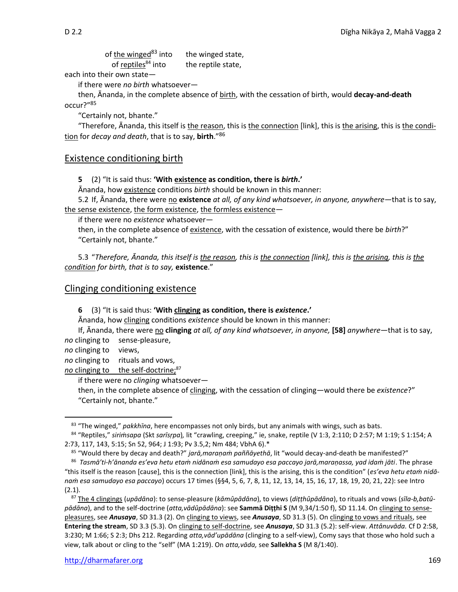| of the winged <sup>83</sup> into | the winged state,  |
|----------------------------------|--------------------|
| of reptiles <sup>84</sup> into   | the reptile state, |

each into their own state—

if there were *no birth* whatsoever—

then, Ānanda, in the complete absence of birth, with the cessation of birth, would **decay-and-death**  occur?" 85

"Certainly not, bhante."

"Therefore, Ānanda, this itself is the reason, this is the connection [link], this is the arising, this is the condition for *decay and death*, that is to say, **birth**." 86

### Existence conditioning birth

**5** (2) "It is said thus: **'With existence as condition, there is** *birth***.'**

Ānanda, how existence conditions *birth* should be known in this manner:

5.2 If, Ānanda, there were no **existence** *at all, of any kind whatsoever, in anyone, anywhere*—that is to say, the sense existence, the form existence, the formless existence—

if there were no *existence* whatsoever—

then, in the complete absence of existence, with the cessation of existence, would there be *birth*?" "Certainly not, bhante."

5.3 "*Therefore, Ānanda, this itself is the reason, this is the connection [link], this is the arising, this is the condition for birth, that is to say,* **existence**."

### Clinging conditioning existence

**6** (3) "It is said thus: **'With clinging as condition, there is** *existence***.'**

Ānanda, how clinging conditions *existence* should be known in this manner:

If, Ānanda, there were no **clinging** *at all, of any kind whatsoever, in anyone,* **[58]** *anywhere*—that is to say, *no* clinging to sense-pleasure,

*no* clinging to views,

*no* clinging to rituals and vows,

no clinging to the self-doctrine;<sup>87</sup>

if there were no *clinging* whatsoever—

then, in the complete absence of clinging, with the cessation of clinging—would there be *existence*?" "Certainly not, bhante."

<sup>85</sup> "Would there by decay and death?" *jarā,maraṇaṁ paññāyethā*, lit "would decay-and-death be manifested?"

<sup>83</sup> "The winged," *pakkhīna*, here encompasses not only birds, but any animals with wings, such as bats.

<sup>84</sup> "Reptiles," *siriṁsapa* (Skt *sarīsṛpa*)*,* lit "crawling, creeping," ie, snake, reptile (V 1:3, 2:110; D 2:57; M 1:19; S 1:154; A 2:73, 117, 143, 5:15; Sn 52, 964; J 1:93; Pv 3.5,2; Nm 484; VbhA 6).\*

<sup>86</sup> *Tasmā'ti-h'ānanda es'eva hetu etaṁ nidānaṁ esa samudayo esa paccayo jarā,maraṇassa, yad idaṁ jāti*. The phrase "this itself is the reason [cause], this is the connection [link], this is the arising, this is the condition" (*es'eva hetu etaṁ nidānaṁ esa samudayo esa paccayo*) occurs 17 times (§§4, 5, 6, 7, 8, 11, 12, 13, 14, 15, 16, 17, 18, 19, 20, 21, 22): see Intro (2.1).

<sup>87</sup> The 4 clingings (*upādāna*): to sense-pleasure (*kāmûpādāna*), to views (*diṭṭhûpādāna*), to rituals and vows (*sīla-b,batûpādāna*), and to the self-doctrine (*atta,vādûpādāna*): see **Sammā Diṭṭhi S** (M 9,34/1:50 f), SD 11.14. On clinging to sensepleasures, see *Anusaya*, SD 31.3 (2). On clinging to views, see *Anusaya*, SD 31.3 (5). On clinging to vows and rituals, see **Entering the stream**, SD 3.3 (5.3). On clinging to self-doctrine, see *Anusaya*, SD 31.3 (5.2): self-view. *Attânuvāda.* Cf D 2:58, 3:230; M 1:66; S 2:3; Dhs 212. Regarding *atta,vād'upādāna* (clinging to a self-view), Comy says that those who hold such a view, talk about or cling to the "self" (MA 1:219). On *atta,vāda,* see **Sallekha S** (M 8/1:40).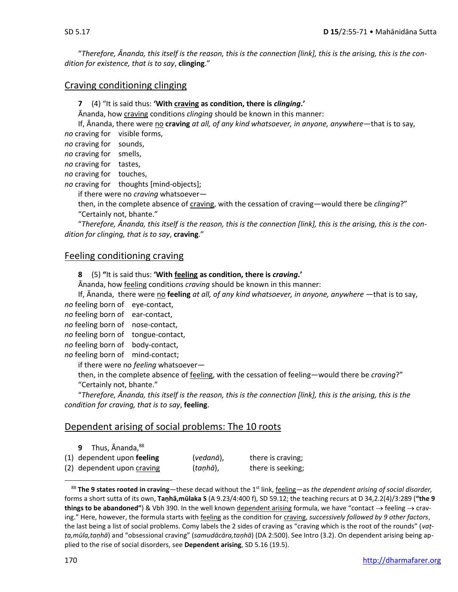"*Therefore, Ānanda, this itself is the reason, this is the connection [link], this is the arising, this is the condition for existence, that is to say*, **clinging**."

### Craving conditioning clinging

**7** (4) "It is said thus: **'With craving as condition, there is** *clinging***.'**

Ānanda, how craving conditions *clinging* should be known in this manner:

If, Ānanda, there were no **craving** *at all, of any kind whatsoever, in anyone, anywhere*—that is to say,

*no* craving for visible forms,

*no* craving for sounds,

*no* craving for smells,

*no* craving for tastes,

*no* craving for touches,

*no* craving for thoughts [mind-objects];

if there were no *craving* whatsoever—

then, in the complete absence of craving, with the cessation of craving—would there be *clinging*?" "Certainly not, bhante."

"*Therefore, Ānanda, this itself is the reason, this is the connection [link], this is the arising, this is the condition for clinging, that is to say*, **craving**."

### Feeling conditioning craving

**8** (5) **"**It is said thus: **'With feeling as condition, there is** *craving***.'**

Ānanda, how feeling conditions *craving* should be known in this manner:

If, Ānanda, there were no **feeling** *at all, of any kind whatsoever, in anyone, anywhere* —that is to say,

*no* feeling born of eye-contact,

*no* feeling born of ear-contact,

*no* feeling born of nose-contact,

*no* feeling born of tongue-contact,

*no* feeling born of body-contact,

*no* feeling born of mind-contact;

if there were no *feeling* whatsoever—

then, in the complete absence of feeling, with the cessation of feeling—would there be *craving*?" "Certainly not, bhante."

"*Therefore, Ānanda, this itself is the reason, this is the connection [link], this is the arising, this is the condition for craving, that is to say*, **feeling**.

### Dependent arising of social problems: The 10 roots

|  | 9 Thus, Ananda, 88           |           |                   |
|--|------------------------------|-----------|-------------------|
|  | $(1)$ dependent upon feeling | (vedanā), | there is craving; |
|  | (2) dependent upon craving   | (taṇhā),  | there is seeking; |

<sup>88</sup> The 9 states rooted in craving—these decad without the 1<sup>st</sup> link, feeling—as *the dependent arising of social disorder,* forms a short sutta of its own, **Taṇhā,mūlaka S** (A 9.23/4:400 f), SD 59.12; the teaching recurs at D 34,2.2(4)/3:289 (**"the 9 things to be abandoned"**) & Vbh 390. In the well known dependent arising formula, we have "contact → feeling → craving." Here, however, the formula starts with feeling as the condition for craving, *successively followed by 9 other factors*, the last being a list of social problems. Comy labels the 2 sides of craving as "craving which is the root of the rounds" (*vaṭṭa,mūla,taṇhā*) and "obsessional craving" (*samudācāra,taṇhā*) (DA 2:500). See Intro (3.2). On dependent arising being applied to the rise of social disorders, see **Dependent arising**, SD 5.16 (19.5).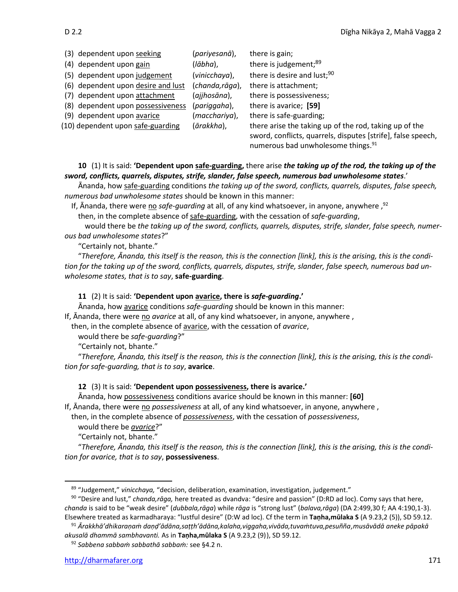(3) dependent upon seeking (*pariyesanā*), there is gain; (4) dependent upon gain (*lābha*), there is judgement;<sup>89</sup> (5) dependent upon judgement (*vinicchaya*), there is desire and lust;<sup>90</sup> (6) dependent upon desire and lust (*chanda,rāga*), there is attachment; (7) dependent upon attachment (*ajjhosāna*), there is possessiveness; (8) dependent upon possessiveness (*pariggaha*), there is avarice; **[59]** (9) dependent upon avarice (*macchariya*), there is safe-guarding; (10) dependent upon safe-guarding (*ārakkha*), there arise the taking up of the rod, taking up of the sword, conflicts, quarrels, disputes [strife], false speech, numerous bad unwholesome things.<sup>91</sup>

### **10** (1) It is said: **'Dependent upon safe-guarding,** there arise *the taking up of the rod, the taking up of the sword, conflicts, quarrels, disputes, strife, slander, false speech, numerous bad unwholesome states*.'

Ānanda, how safe-guarding conditions *the taking up of the sword, conflicts, quarrels, disputes, false speech, numerous bad unwholesome states* should be known in this manner:

<sup>1</sup>f, Ānanda, there were no *safe-guarding* at all, of any kind whatsoever, in anyone, anywhere ,<sup>92</sup>

then, in the complete absence of safe-guarding, with the cessation of *safe-guarding*,

would there be *the taking up of the sword, conflicts, quarrels, disputes, strife, slander, false speech, numerous bad unwholesome states*?"

"Certainly not, bhante."

"*Therefore, Ānanda, this itself is the reason, this is the connection [link], this is the arising, this is the condition for the taking up of the sword, conflicts, quarrels, disputes, strife, slander, false speech, numerous bad unwholesome states, that is to say*, **safe-guarding**.

### **11** (2) It is said: **'Dependent upon avarice, there is** *safe-guarding***.'**

Ānanda, how avarice conditions *safe-guarding* should be known in this manner: If, Ānanda, there were no *avarice* at all, of any kind whatsoever, in anyone, anywhere ,

then, in the complete absence of avarice, with the cessation of *avarice*,

would there be *safe-guarding*?"

"Certainly not, bhante."

"*Therefore, Ānanda, this itself is the reason, this is the connection [link], this is the arising, this is the condition for safe-guarding, that is to say*, **avarice**.

### **12** (3) It is said: **'Dependent upon possessiveness, there is avarice.'**

Ānanda, how possessiveness conditions avarice should be known in this manner: **[60]** If, Ānanda, there were no *possessiveness* at all, of any kind whatsoever, in anyone, anywhere ,

then, in the complete absence of *possessiveness*, with the cessation of *possessiveness*,

would there be *avarice*?"

"Certainly not, bhante."

"*Therefore, Ānanda, this itself is the reason, this is the connection [link], this is the arising, this is the condition for avarice, that is to say*, **possessiveness**.

<sup>91</sup> *Ārakkhā'dhikaraṇaṁ daṇḍ'ādāna,saṭṭh'ādāna,kalaha,viggaha,vivāda,tuvaṁtuva,pesuñña,musāvādā aneke pāpakā akusalā dhammā sambhavanti.* As in **Taṇha,mūlaka S** (A 9.23,2 (9)), SD 59.12.

<sup>92</sup> *Sabbena sabbaṁ sabbathā sabbaṁ:* see §4.2 n.

<sup>89</sup> "Judgement," *vinicchaya,* "decision, deliberation, examination, investigation, judgement."

<sup>90</sup> "Desire and lust," *chanda,rāga,* here treated as dvandva: "desire and passion" (D:RD ad loc). Comy says that here, *chanda* is said to be "weak desire" (*dubbala,rāga*) while *rāga* is "strong lust" (*balava,rāga*) (DA 2:499,30 f; AA 4:190,1-3). Elsewhere treated as karmadharaya: "lustful desire" (D:W ad loc). Cf the term in **Taṇha,mūlaka S** (A 9.23,2 (5)), SD 59.12.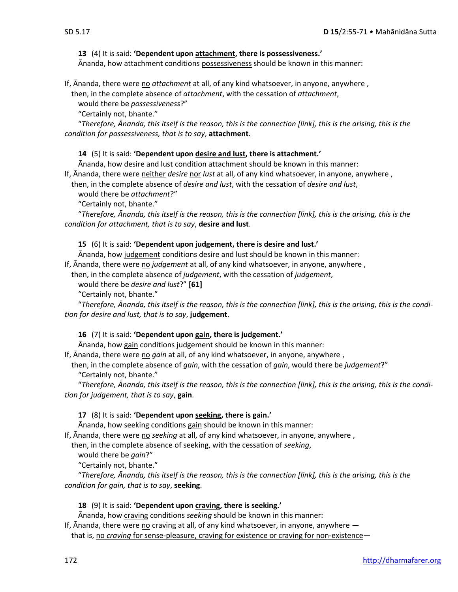### **13** (4) It is said: **'Dependent upon attachment, there is possessiveness.'**

Ānanda, how attachment conditions possessiveness should be known in this manner:

If, Ānanda, there were no *attachment* at all, of any kind whatsoever, in anyone, anywhere ,

then, in the complete absence of *attachment*, with the cessation of *attachment*,

would there be *possessiveness*?"

"Certainly not, bhante."

"*Therefore, Ānanda, this itself is the reason, this is the connection [link], this is the arising, this is the condition for possessiveness, that is to say*, **attachment**.

### **14** (5) It is said: **'Dependent upon desire and lust, there is attachment.'**

Ānanda, how desire and lust condition attachment should be known in this manner:

If, Ānanda, there were neither *desire* nor *lust* at all, of any kind whatsoever, in anyone, anywhere ,

then, in the complete absence of *desire and lust*, with the cessation of *desire and lust*,

would there be *attachment*?"

"Certainly not, bhante."

"*Therefore, Ānanda, this itself is the reason, this is the connection [link], this is the arising, this is the condition for attachment, that is to say*, **desire and lust**.

### **15** (6) It is said: **'Dependent upon judgement, there is desire and lust.'**

Ānanda, how judgement conditions desire and lust should be known in this manner:

If, Ānanda, there were no *judgement* at all, of any kind whatsoever, in anyone, anywhere ,

then, in the complete absence of *judgement*, with the cessation of *judgement*,

would there be *desire and lust*?" **[61]**

"Certainly not, bhante."

"*Therefore, Ānanda, this itself is the reason, this is the connection [link], this is the arising, this is the condition for desire and lust, that is to say*, **judgement**.

### **16** (7) It is said: **'Dependent upon gain, there is judgement.'**

Ananda, how gain conditions judgement should be known in this manner:

If, Ānanda, there were no *gain* at all, of any kind whatsoever, in anyone, anywhere ,

then, in the complete absence of *gain*, with the cessation of *gain*, would there be *judgement*?" "Certainly not, bhante."

"*Therefore, Ānanda, this itself is the reason, this is the connection [link], this is the arising, this is the condition for judgement, that is to say*, **gain**.

### **17** (8) It is said: **'Dependent upon seeking, there is gain.'**

Ānanda, how seeking conditions gain should be known in this manner:

If, Ananda, there were no *seeking* at all, of any kind whatsoever, in anyone, anywhere,

then, in the complete absence of seeking, with the cessation of *seeking*,

would there be *gain*?"

"Certainly not, bhante."

"*Therefore, Ānanda, this itself is the reason, this is the connection [link], this is the arising, this is the condition for gain, that is to say*, **seeking**.

### **18** (9) It is said: **'Dependent upon craving, there is seeking.'**

Ānanda, how craving conditions *seeking* should be known in this manner:

If,  $\bar{A}$ nanda, there were no craving at all, of any kind whatsoever, in anyone, anywhere  $-$ 

that is, no *craving* for sense-pleasure, craving for existence or craving for non-existence—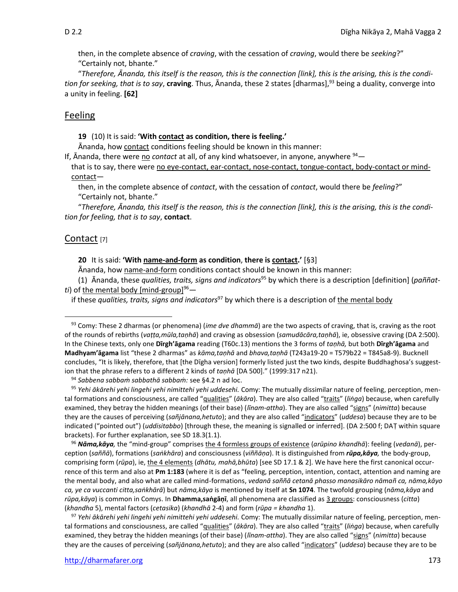then, in the complete absence of *craving*, with the cessation of *craving*, would there be *seeking*?" "Certainly not, bhante."

"*Therefore, Ānanda, this itself is the reason, this is the connection [link], this is the arising, this is the condition for seeking, that is to say*, **craving**. Thus, Ānanda, these 2 states [dharmas], <sup>93</sup> being a duality, converge into a unity in feeling. **[62]**

### Feeling

### **19** (10) It is said: **'With contact as condition, there is feeling.'**

Ānanda, how contact conditions feeling should be known in this manner:

If, Ananda, there were no *contact* at all, of any kind whatsoever, in anyone, anywhere <sup>94</sup>

that is to say, there were no eye-contact, ear-contact, nose-contact, tongue-contact, body-contact or mindcontact—

then, in the complete absence of *contact*, with the cessation of *contact*, would there be *feeling*?" "Certainly not, bhante."

"*Therefore, Ānanda, this itself is the reason, this is the connection [link], this is the arising, this is the condition for feeling, that is to say*, **contact**.

### Contact [7]

### **20** It is said: **'With name-and-form as condition**, **there is contact.'** [§3]

Ānanda, how name-and-form conditions contact should be known in this manner:

(1) Ānanda, these *qualities, traits, signs and indicators*<sup>95</sup> by which there is a description [definition] (*paññatti*) of the mental body [mind-group]<sup>96</sup>—

if these *qualities, traits, signs and indicators*<sup>97</sup> by which there is a description of the mental body

<sup>94</sup> *Sabbena sabbaṁ sabbathā sabbaṁ:* see §4.2 n ad loc.

<sup>95</sup> *Yehi ākārehi yehi lingehi yehi nimittehi yehi uddesehi.* Comy: The mutually dissimilar nature of feeling, perception, mental formations and consciousness, are called "qualities" (*ākāra*). They are also called "traits" (*liṅga*) because, when carefully examined, they betray the hidden meanings (of their base) (*līnam-attha*). They are also called "signs" (*nimitta*) because they are the causes of perceiving (*sañjānana,hetuto*); and they are also called "indicators" (*uddesa*) because they are to be indicated ("pointed out") (*uddisitabbo*) [through these, the meaning is signalled or inferred]. (DA 2:500 f; DAṬ within square brackets). For further explanation, see SD 18.3(1.1).

<sup>96</sup> *Nāma,kāya,* the "mind-group" comprises the 4 formless groups of existence (*arūpino khandhā*): feeling (*vedanā*), perception (saññā), formations (sankhāra) and consciousness (viññāna). It is distinguished from rūpa, kāya, the body-group, comprising form (*rūpa*), ie, the 4 elements (*dhātu, mahā,bhūta*) [see SD 17.1 & 2]. We have here the first canonical occurrence of this term and also at **Pm 1:183** (where it is def as "feeling, perception, intention, contact, attention and naming are the mental body, and also what are called mind-formations, *vedanā saññā cetanā phasso manasikāro nāmañ ca, nāma,kāyo ca, ye ca vuccanti citta,saṅkhārā*) but *nāma,kāya* is mentioned by itself at **Sn 1074**. The twofold grouping (*nāma,kāya* and *rūpa,kāya*) is common in Comys. In **Dhamma,saṅgāṇī**, all phenomena are classified as 3 groups: consciousness (*citta*) (*khandha* 5), mental factors (*cetasika*) (*khandhā* 2-4) and form (*rūpa = khandha* 1).

<sup>97</sup> *Yehi ākārehi yehi lingehi yehi nimittehi yehi uddesehi.* Comy: The mutually dissimilar nature of feeling, perception, mental formations and consciousness, are called "qualities" (*ākāra*). They are also called "traits" (*liṅga*) because, when carefully examined, they betray the hidden meanings (of their base) (*līnam-attha*). They are also called "signs" (*nimitta*) because they are the causes of perceiving (*sañjānana,hetuto*); and they are also called "indicators" (*uddesa*) because they are to be

<sup>93</sup> Comy: These 2 dharmas (or phenomena) (*ime dve dhammā*) are the two aspects of craving, that is, craving as the root of the rounds of rebirths (*vaṭṭa,mūla,taṇhā*) and craving as obsession (*samudācāra,taṇhā*), ie, obsessive craving (DA 2:500). In the Chinese texts, only one **Dīrgh'āgama** reading (T60c.13) mentions the 3 forms of *taṇhā,* but both **Dīrgh'āgama** and **Madhyam'āgama** list "these 2 dharmas" as *kāma,taṇhā* and *bhava,taṇhā* (T243a19-20 = T579b22 = T845a8-9). Bucknell concludes, "It is likely, therefore, that [the Dīgha version] formerly listed just the two kinds, despite Buddhaghosa's suggestion that the phrase refers to a different 2 kinds of *taṇhā* [DA 500]." (1999:317 n21).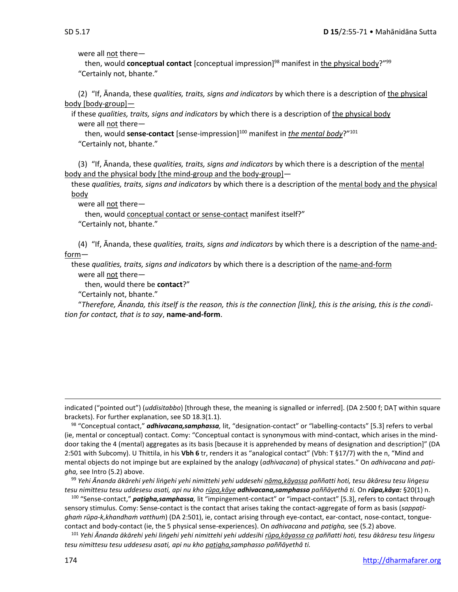were all not there—

then, would **conceptual contact** [conceptual impression]<sup>98</sup> manifest in <u>the physical body</u>?"<sup>99</sup> "Certainly not, bhante."

(2) "If, Ānanda, these *qualities, traits, signs and indicators* by which there is a description of the physical body [body-group]—

if these *qualities, traits, signs and indicators* by which there is a description of the physical body were all not there—

then, would **sense-contact** [sense-impression]<sup>100</sup> manifest in *the mental body*?" 101 "Certainly not, bhante."

(3) "If, Ānanda, these *qualities, traits, signs and indicators* by which there is a description of the mental body and the physical body [the mind-group and the body-group]—

these *qualities, traits, signs and indicators* by which there is a description of the mental body and the physical body

were all not there—

then, would conceptual contact or sense-contact manifest itself?"

"Certainly not, bhante."

(4) "If, Ānanda, these *qualities, traits, signs and indicators* by which there is a description of the name-andform—

these *qualities, traits, signs and indicators* by which there is a description of the name-and-form

were all not there—

then, would there be **contact**?"

"Certainly not, bhante."

"*Therefore, Ānanda, this itself is the reason, this is the connection [link], this is the arising, this is the condition for contact, that is to say*, **name-and-form**.

indicated ("pointed out") (*uddisitabbo*) [through these, the meaning is signalled or inferred]. (DA 2:500 f; DAṬ within square brackets). For further explanation, see SD 18.3(1.1).

<sup>98</sup> "Conceptual contact," *adhivacana,samphassa,* lit, "designation-contact" or "labelling-contacts" [5.3] refers to verbal (ie, mental or conceptual) contact. Comy: "Conceptual contact is synonymous with mind-contact, which arises in the minddoor taking the 4 (mental) aggregates as its basis [because it is apprehended by means of designation and description]" (DA 2:501 with Subcomy). U Thittila, in his **Vbh 6** tr, renders it as "analogical contact" (Vbh: T §17/7) with the n, "Mind and mental objects do not impinge but are explained by the analogy (*adhivacana*) of physical states." On *adhivacana* and *paṭigha,* see Intro (5.2) above.

<sup>99</sup> Yehi Ānanda ākārehi yehi lingehi yehi nimittehi yehi uddesehi nāma, kāyassa paññatti hoti, tesu ākāresu tesu lingesu *tesu nimittesu tesu uddesesu asati, api nu kho rūpa,kāye adhivacana,samphasso paññāyethâ ti.* On *rūpa,kāya:* §20(1) n.

<sup>100</sup> "Sense-contact," *paṭigha,samphassa,* lit "impingement-contact" or "impact-contact" [5.3], refers to contact through sensory stimulus*.* Comy: Sense-contact is the contact that arises taking the contact-aggregate of form as basis (*sappaṭighaṁ rūpa-k,khandhaṁ vatthuṁ*) (DA 2:501), ie, contact arising through eye-contact, ear-contact, nose-contact, tonguecontact and body-contact (ie, the 5 physical sense-experiences). On *adhivacana* and *paṭigha,* see (5.2) above.

<sup>101</sup> Yehi Ānanda ākārehi yehi lingehi yehi nimittehi yehi uddesihi rūpa,kāyassa ca paññatti hoti, tesu ākāresu tesu lingesu *tesu nimittesu tesu uddesesu asati, api nu kho paṭigha,samphasso paññāyethâ ti.*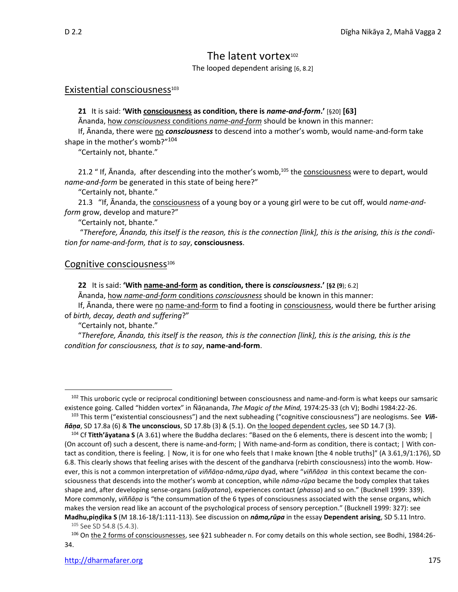# The latent vortex<sup>102</sup>

The looped dependent arising [6, 8.2]

### Existential consciousness<sup>103</sup>

**21** It is said: **'With consciousness as condition, there is** *name-and-form***.'** [§20] **[63]**

Ānanda, how *consciousness* conditions *name-and-form* should be known in this manner:

If, Ānanda, there were no **consciousness** to descend into a mother's womb, would name-and-form take shape in the mother's womb?"<sup>104</sup>

"Certainly not, bhante."

21.2 " If, Ānanda, after descending into the mother's womb,<sup>105</sup> the consciousness were to depart, would *name-and-form* be generated in this state of being here?"

"Certainly not, bhante."

21.3 "If, Ānanda, the consciousness of a young boy or a young girl were to be cut off, would *name-andform* grow, develop and mature?"

"Certainly not, bhante."

"*Therefore, Ānanda, this itself is the reason, this is the connection [link], this is the arising, this is the condition for name-and-form, that is to say*, **consciousness**.

### Cognitive consciousness<sup>106</sup>

**22** It is said: **'With name-and-form as condition, there is** *consciousness***.' [§2 (9**); 6.2]

Ānanda, how *name-and-form* conditions *consciousness* should be known in this manner:

If, Ānanda, there were no name-and-form to find a footing in consciousness, would there be further arising of *birth, decay, death and suffering*?"

"Certainly not, bhante."

"*Therefore, Ānanda, this itself is the reason, this is the connection [link], this is the arising, this is the condition for consciousness, that is to say*, **name-and-form**.

<sup>&</sup>lt;sup>102</sup> This uroboric cycle or reciprocal conditioningl between consciousness and name-and-form is what keeps our samsaric existence going. Called "hidden vortex" in Ñāṇananda, *The Magic of the Mind,* 1974:25-33 (ch V); Bodhi 1984:22-26.

<sup>103</sup> This term ("existential consciousness") and the next subheading ("cognitive consciousness") are neologisms. See *Viññāṇa*, SD 17.8a (6) & **The unconscious**, SD 17.8b (3) & (5.1). On the looped dependent cycles, see SD 14.7 (3).

<sup>104</sup> Cf **Titth'āyatana S** (A 3.61) where the Buddha declares: "Based on the 6 elements, there is descent into the womb; | (On account of) such a descent, there is name-and-form; | With name-and-form as condition, there is contact; | With contact as condition, there is feeling. | Now, it is for one who feels that I make known [the 4 noble truths]" (A 3.61,9/1:176), SD 6.8. This clearly shows that feeling arises with the descent of the gandharva (rebirth consciousness) into the womb. However, this is not a common interpretation of *viññāṇa-nāma,rūpa* dyad, where "*viññāṇa* in this context became the consciousness that descends into the mother's womb at conception, while *nāma-rūpa* became the body complex that takes shape and, after developing sense-organs (*saḷāyatana*), experiences contact (*phassa*) and so on." (Bucknell 1999: 339). More commonly, *viññāṇa* is "the consummation of the 6 types of consciousness associated with the sense organs, which makes the version read like an account of the psychological process of sensory perception." (Bucknell 1999: 327): see **Madhu,piṇḍika S** (M 18.16-18/1:111-113). See discussion on *nāma,rūpa* in the essay **Dependent arising**, SD 5.11 Intro.

<sup>&</sup>lt;sup>105</sup> See SD 54.8 (5.4.3).

<sup>106</sup> On the 2 forms of consciousnesses, see §21 subheader n. For comy details on this whole section, see Bodhi, 1984:26- 34.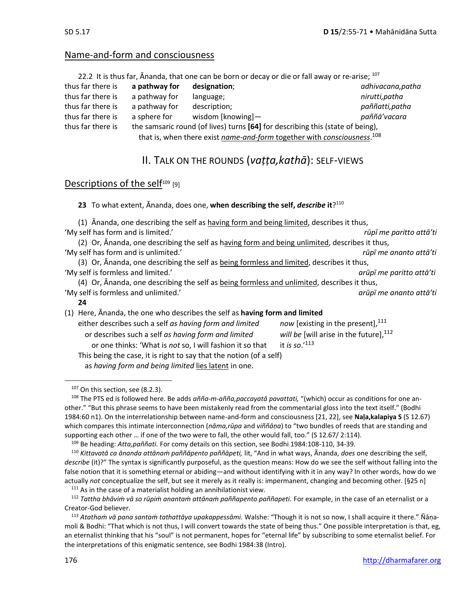### Name-and-form and consciousness

|                   |               | 22.2 It is thus far, Ananda, that one can be born or decay or die or fall away or re-arise; 107 |                   |
|-------------------|---------------|-------------------------------------------------------------------------------------------------|-------------------|
| thus far there is | a pathway for | designation;                                                                                    | adhivacana, patha |
| thus far there is | a pathway for | language;                                                                                       | nirutti, patha    |
| thus far there is | a pathway for | description;                                                                                    | paññatti, patha   |
| thus far there is | a sphere for  | wisdom [knowing]-                                                                               | paññā' vacara     |
| thus far there is |               | the samsaric round (of lives) turns [64] for describing this (state of being),                  |                   |
|                   |               | that is, when there exist name-and-form together with consciousness. <sup>108</sup>             |                   |

# II. TALK ON THE ROUNDS (*vaṭṭa,kathā*): SELF-VIEWS

### Descriptions of the self $109$  [9]

**23** To what extent, Ānanda, does one, **when describing the self,** *describe* **it**? 110

- (1) Ānanda, one describing the self as having form and being limited, describes it thus, 'My self has form and is limited.' *rūpī me paritto attā'ti*
- (2) Or, Ānanda, one describing the self as having form and being unlimited, describes it thus, 'My self has form and is unlimited.' *rūpī me ananto attā'ti*

(3) Or, Ananda, one describing the self as being formless and limited, describes it thus, 'My self is formless and limited.' *arūpī me paritto attā'ti*

(4) Or, Ananda, one describing the self as being formless and unlimited, describes it thus, 'My self is formless and unlimited.' *arūpī me ananto attā'ti*

- **24**
- (1) Here, Ānanda, the one who describes the self as **having form and limited** either describes such a self *as having form and limited* now [existing in the present],<sup>111</sup> or describes such a self *as having form and limited* will be [will arise in the future].<sup>112</sup> or one thinks: 'What is *not* so, I will fashion it so that it *is so*.'<sup>113</sup> This being the case, it is right to say that the notion (of a self) as *having form and being limited* lies latent in one.

 $111$  As in the case of a materialist holding an annihilationist view.

<sup>107</sup> On this section, see (8.2.3).

<sup>108</sup> The PTS ed is followed here. Be adds *añña-m-añña,paccayatā pavattati,* "(which) occur as conditions for one another." "But this phrase seems to have been mistakenly read from the commentarial gloss into the text itself." (Bodhi 1984:60 n1). On the interrelationship between name-and-form and consciousness [21, 22], see **Naḷa,kalapiya S** (S 12.67) which compares this intimate interconnection (*nāma,rūpa* and *viññāṇa*) to "two bundles of reeds that are standing and supporting each other … if one of the two were to fall, the other would fall, too." (S 12.67/ 2:114).

<sup>109</sup> Be heading: *Atta,paññati.* For comy details on this section, see Bodhi 1984:108-110, 34-39.

<sup>110</sup> *Kittavatā ca ānanda attānaṁ paññāpento paññāpeti,* lit, "And in what ways, Ānanda, *does* one describing the self, *describe* (it)?" The syntax is significantly purposeful, as the question means: How do we see the self without falling into the false notion that it is something eternal or abiding—and without identifying with it in any way? In other words, how do we actually *not* conceptualize the self, but see it merely as it really is: impermanent, changing and becoming other. [§25 n]

<sup>112</sup> *Tattha bhāviṁ vā so rūpiṁ anantaṁ attānaṁ paññapento paññapeti.* For example, in the case of an eternalist or a Creator-God believer.

<sup>113</sup> *Atathaṁ vā pana santaṁ tathattāya upakappessāmi.* Walshe: "Though it is not so now, I shall acquire it there." Ñāṇamoli & Bodhi: "That which is not thus, I will convert towards the state of being thus." One possible interpretation is that, eg, an eternalist thinking that his "soul" is not permanent, hopes for "eternal life" by subscribing to some eternalist belief. For the interpretations of this enigmatic sentence, see Bodhi 1984:38 (Intro).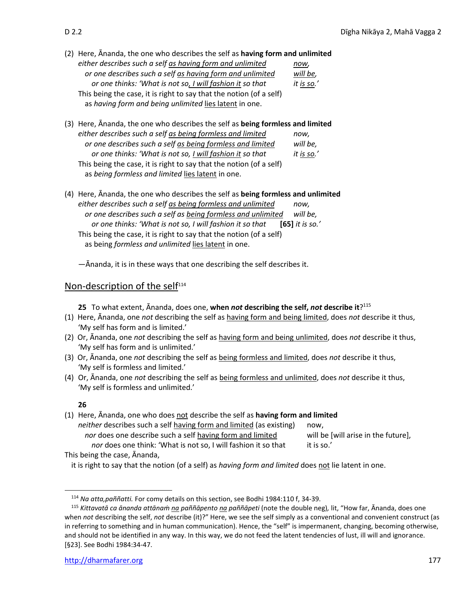- 
- (2) Here, Ānanda, the one who describes the self as **having form and unlimited** *either describes such a self as having form and unlimited now, or one describes such a self as having form and unlimited will be, or one thinks: 'What is not so, I will fashion it so that it is so.'* This being the case, it is right to say that the notion (of a self) as *having form and being unlimited* lies latent in one.
- (3) Here, Ānanda, the one who describes the self as **being formless and limited** *either describes such a self as being formless and limited now, or one describes such a self as being formless and limited will be, or one thinks: 'What is not so, I will fashion it so that it is so.'* This being the case, it is right to say that the notion (of a self) as *being formless and limited* lies latent in one.
- (4) Here, Ānanda, the one who describes the self as **being formless and unlimited** *either describes such a self as being formless and unlimited now, or one describes such a self as being formless and unlimited will be, or one thinks: 'What is not so, I will fashion it so that* **[65]** *it is so.'* This being the case, it is right to say that the notion (of a self) as being *formless and unlimited* lies latent in one.

—Ānanda, it is in these ways that one describing the self describes it.

### Non-description of the self<sup>114</sup>

**25** To what extent, Ānanda, does one, **when** *not* **describing the self,** *not* **describe it**? 115

- (1) Here, Ānanda, one *not* describing the self as having form and being limited, does *not* describe it thus, 'My self has form and is limited.'
- (2) Or, Ānanda, one *not* describing the self as having form and being unlimited, does *not* describe it thus, 'My self has form and is unlimited.'
- (3) Or, Ānanda, one *not* describing the self as being formless and limited, does *not* describe it thus, 'My self is formless and limited.'
- (4) Or, Ānanda, one *not* describing the self as being formless and unlimited, does *not* describe it thus, 'My self is formless and unlimited.'

### **26**

| (1) Here, Ananda, one who does not describe the self as having form and limited |                                     |
|---------------------------------------------------------------------------------|-------------------------------------|
| neither describes such a self having form and limited (as existing)             | now.                                |
| nor does one describe such a self having form and limited                       | will be [will arise in the future], |
| nor does one think: 'What is not so, I will fashion it so that                  | it is so.'                          |
| This being the case, Ananda,                                                    |                                     |

it is right to say that the notion (of a self) as *having form and limited* does not lie latent in one.

<sup>114</sup> *Na atta,paññatti.* For comy details on this section, see Bodhi 1984:110 f, 34-39.

<sup>115</sup> *Kittavatā ca ānanda attānaṁ na paññāpento na paññāpeti* (note the double neg)*,* lit, "How far, Ānanda, does one when *not* describing the self, *not* describe (it)?" Here, we see the self simply as a conventional and convenient construct (as in referring to something and in human communication). Hence, the "self" is impermanent, changing, becoming otherwise, and should not be identified in any way. In this way, we do not feed the latent tendencies of lust, ill will and ignorance. [§23]. See Bodhi 1984:34-47.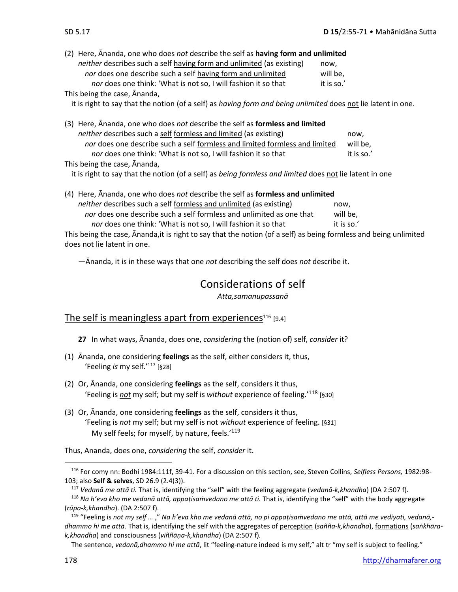(2) Here, Ānanda, one who does *not* describe the self as **having form and unlimited** *neither* describes such a self having form and unlimited (as existing) now, *nor* does one describe such a self having form and unlimited will be, *nor* does one think: 'What is not so, I will fashion it so that it is so.' This being the case, Ānanda,

it is right to say that the notion (of a self) as *having form and being unlimited* does not lie latent in one.

(3) Here, Ānanda, one who does *not* describe the self as **formless and limited** *neither* describes such a self formless and limited (as existing) now, *nor* does one describe such a self formless and limited formless and limited will be, *nor* does one think: 'What is not so, I will fashion it so that it is so.' This being the case, Ānanda,

it is right to say that the notion (of a self) as *being formless and limited* does not lie latent in one

(4) Here, Ānanda, one who does *not* describe the self as **formless and unlimited** *neither* describes such a self formless and unlimited (as existing) now, *nor* does one describe such a self formless and unlimited as one that will be, *nor* does one think: 'What is not so, I will fashion it so that it is so.' This being the case, Ānanda,it is right to say that the notion (of a self) as being formless and being unlimited does not lie latent in one.

—Ānanda, it is in these ways that one *not* describing the self does *not* describe it.

# Considerations of self

*Atta,samanupassanā*

### The self is meaningless apart from experiences $116$  [9.4]

- **27** In what ways, Ānanda, does one, *considering* the (notion of) self, *consider* it?
- (1) Ānanda, one considering **feelings** as the self, either considers it, thus, 'Feeling *is* my self.'<sup>117</sup> [§28]
- (2) Or, Ānanda, one considering **feelings** as the self, considers it thus, 'Feeling is *not* my self; but my self is *without* experience of feeling.' <sup>118</sup> [§30]
- (3) Or, Ānanda, one considering **feelings** as the self, considers it thus, 'Feeling is *not* my self; but my self is not *without* experience of feeling. [§31] My self feels; for myself, by nature, feels.<sup>'119</sup>

Thus, Ananda, does one, *considering* the self, *consider* it.

<sup>116</sup> For comy nn: Bodhi 1984:111f, 39-41. For a discussion on this section, see, Steven Collins, *Selfless Persons,* 1982:98- 103; also **Self & selves**, SD 26.9 (2.4(3)).

<sup>117</sup> *Vedanā me attā ti.* That is, identifying the "self" with the feeling aggregate (*vedanā-k,khandha*) (DA 2:507 f).

<sup>118</sup> *Na h'eva kho me vedanā attā, appaṭisaṁvedano me attā ti.* That is, identifying the "self" with the body aggregate (*rūpa-k,khandha*). (DA 2:507 f).

<sup>119</sup> "Feeling is *not my self …* ," *Na h'eva kho me vedanā attā, no pi appaṭisaṁvedano me attā, attā me vediyati, vedanā, dhammo hi me attā*. That is, identifying the self with the aggregates of perception (*sañña-k,khandha*), formations (*saṅkhārak,khandha*) and consciousness (*viññāṇa-k,khandha*) (DA 2:507 f)*.*

The sentence, *vedanā,dhammo hi me attā*, lit "feeling-nature indeed is my self," alt tr "my self is subject to feeling."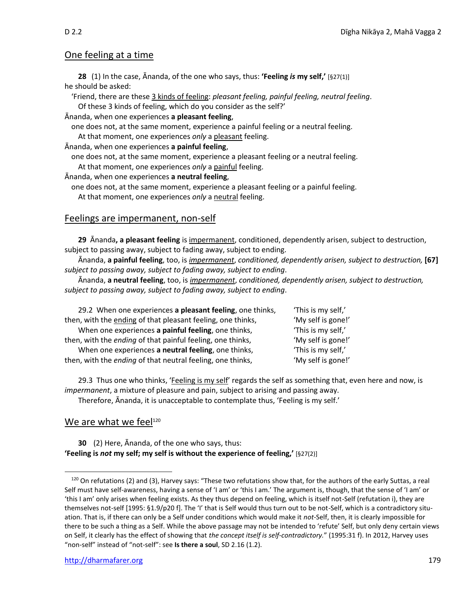### One feeling at a time

**28** (1) In the case, Ānanda, of the one who says, thus: **'Feeling** *is* **my self,'** [§27(1)] he should be asked:

'Friend, there are these 3 kinds of feeling: *pleasant feeling, painful feeling, neutral feeling*. Of these 3 kinds of feeling, which do you consider as the self?'

Ānanda, when one experiences **a pleasant feeling**,

one does not, at the same moment, experience a painful feeling or a neutral feeling.

At that moment, one experiences *only* a pleasant feeling.

Ānanda, when one experiences **a painful feeling**,

one does not, at the same moment, experience a pleasant feeling or a neutral feeling.

At that moment, one experiences *only* a painful feeling.

Ānanda, when one experiences **a neutral feeling**,

one does not, at the same moment, experience a pleasant feeling or a painful feeling. At that moment, one experiences *only* a neutral feeling.

### Feelings are impermanent, non-self

**29** Ānanda**, a pleasant feeling** is impermanent, conditioned, dependently arisen, subject to destruction, subject to passing away, subject to fading away, subject to ending.

Ānanda, **a painful feeling**, too, is *impermanent*, *conditioned, dependently arisen, subject to destruction,* **[67]** *subject to passing away, subject to fading away, subject to ending*.

Ānanda, **a neutral feeling**, too, is *impermanent*, *conditioned, dependently arisen, subject to destruction, subject to passing away, subject to fading away, subject to ending*.

| 29.2 When one experiences a pleasant feeling, one thinks,   | 'This is my self,' |
|-------------------------------------------------------------|--------------------|
| then, with the ending of that pleasant feeling, one thinks, | 'My self is gone!' |
| When one experiences a painful feeling, one thinks,         | 'This is my self,' |
| then, with the ending of that painful feeling, one thinks,  | 'My self is gone!' |
| When one experiences a neutral feeling, one thinks,         | 'This is my self,' |
| then, with the ending of that neutral feeling, one thinks,  | 'My self is gone!' |

29.3 Thus one who thinks, 'Feeling is my self' regards the self as something that, even here and now, is *impermanent*, a mixture of pleasure and pain, subject to arising and passing away.

Therefore, Ānanda, it is unacceptable to contemplate thus, 'Feeling is my self.'

### We are what we feel $120$

**30** (2) Here, Ānanda, of the one who says, thus: **'Feeling is** *not* **my self; my self is without the experience of feeling,'** [§27(2)]

<sup>120</sup> On refutations (2) and (3), Harvey says: "These two refutations show that, for the authors of the early Suttas, a real Self must have self-awareness, having a sense of 'I am' or 'this I am.' The argument is, though, that the sense of 'I am' or 'this I am' only arises when feeling exists. As they thus depend on feeling, which is itself not-Self (refutation i), they are themselves not-self [1995: §1.9/p20 f]. The 'I' that is Self would thus turn out to be not-Self, which is a contradictory situation. That is, if there can only be a Self under conditions which would make it *not-*Self, then, it is clearly impossible for there to be such a thing as a Self. While the above passage may not be intended to 'refute' Self, but only deny certain views on Self, it clearly has the effect of showing that *the concept itself is self-contradictory.*" (1995:31 f). In 2012, Harvey uses "non-self" instead of "not-self": see **Is there a soul**, SD 2.16 (1.2).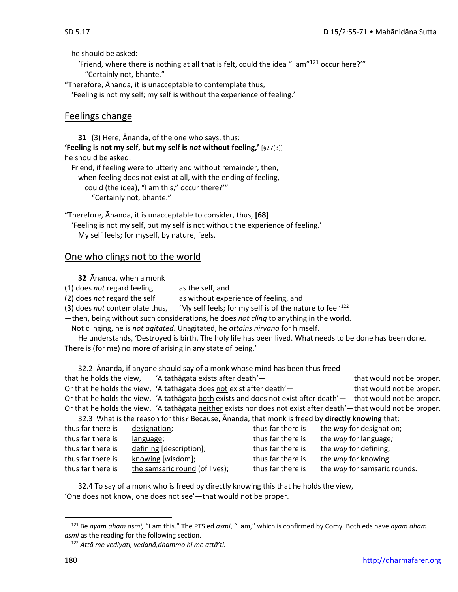he should be asked:

'Friend, where there is nothing at all that is felt, could the idea "I am" $^{121}$  occur here?" "Certainly not, bhante."

"Therefore, Ānanda, it is unacceptable to contemplate thus,

'Feeling is not my self; my self is without the experience of feeling.'

### Feelings change

**31** (3) Here, Ānanda, of the one who says, thus: **'Feeling is not my self, but my self is** *not* **without feeling,'** [§27(3)] he should be asked:

Friend, if feeling were to utterly end without remainder, then, when feeling does not exist at all, with the ending of feeling, could (the idea), "I am this," occur there?'" "Certainly not, bhante."

"Therefore, Ānanda, it is unacceptable to consider, thus, **[68]** 'Feeling is not my self, but my self is not without the experience of feeling.' My self feels; for myself, by nature, feels.

### One who clings not to the world

**32** Ānanda, when a monk

(1) does *not* regard feeling as the self, and

(2) does *not* regard the self as without experience of feeling, and

(3) does *not* contemplate thus, 'My self feels; for my self is of the nature to feel'<sup>122</sup>

—then, being without such considerations, he does *not cling* to anything in the world.

Not clinging, he is *not agitated*. Unagitated, he *attains nirvana* for himself.

He understands, 'Destroyed is birth. The holy life has been lived. What needs to be done has been done. There is (for me) no more of arising in any state of being.'

32.2Ānanda, if anyone should say of a monk whose mind has been thus freed that he holds the view, 'A tathāgata exists after death'— that would not be proper. Or that he holds the view, 'A tathāgata does not exist after death'— that would not be proper. Or that he holds the view, 'A tathāgata both exists and does not exist after death'— that would not be proper. Or that he holds the view, 'A tathāgata neither exists nor does not exist after death'—that would not be proper. 32.3What is the reason for this? Because, Ānanda, that monk is freed by **directly knowing** that:

| thus far there is | designation;                   | thus far there is | the way for designation;     |
|-------------------|--------------------------------|-------------------|------------------------------|
| thus far there is | language;                      | thus far there is | the way for language;        |
| thus far there is | defining [description];        | thus far there is | the way for defining;        |
| thus far there is | knowing [wisdom];              | thus far there is | the way for knowing.         |
| thus far there is | the samsaric round (of lives); | thus far there is | the way for samsaric rounds. |

32.4 To say of a monk who is freed by directly knowing this that he holds the view, 'One does not know, one does not see'—that would not be proper.

<sup>121</sup> Be *ayam aham asmi,* "I am this." The PTS ed *asmi*, "I am," which is confirmed by Comy. Both eds have *ayam aham asmi* as the reading for the following section.

<sup>122</sup> *Attā me vediyati, vedanā,dhammo hi me attā'ti.*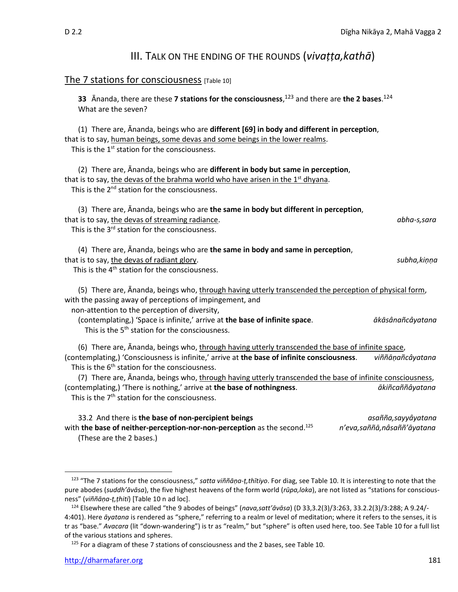## III. TALK ON THE ENDING OF THE ROUNDS (*vivaṭṭa,kathā*)

### The 7 stations for consciousness [Table 10]

**33** Ānanda, there are these **7 stations for the consciousness**, <sup>123</sup> and there are **the 2 bases**. 124 What are the seven? (1) There are, Ānanda, beings who are **different [69] in body and different in perception**, that is to say, human beings, some devas and some beings in the lower realms. This is the 1<sup>st</sup> station for the consciousness. (2) There are, Ānanda, beings who are **different in body but same in perception**, that is to say, the devas of the brahma world who have arisen in the  $1<sup>st</sup>$  dhyana. This is the 2<sup>nd</sup> station for the consciousness. (3) There are, Ānanda, beings who are **the same in body but different in perception**, that is to say, the devas of streaming radiance. *abha-s,sara* This is the 3<sup>rd</sup> station for the consciousness. (4) There are, Ānanda, beings who are **the same in body and same in perception**, that is to say, the devas of radiant glory. *subha,kiṇṇa* This is the 4<sup>th</sup> station for the consciousness. (5) There are, Ananda, beings who, through having utterly transcended the perception of physical form, with the passing away of perceptions of impingement, and non-attention to the perception of diversity, (contemplating,) 'Space is infinite,' arrive at **the base of infinite space**. *ākāsânañcâyatana* This is the 5<sup>th</sup> station for the consciousness. (6) There are, Ānanda, beings who, through having utterly transcended the base of infinite space, (contemplating,) 'Consciousness is infinite,' arrive at **the base of infinite consciousness**. *viññāṇañcâyatana* This is the 6<sup>th</sup> station for the consciousness. (7) There are, Ananda, beings who, through having utterly transcended the base of infinite consciousness, (contemplating,) 'There is nothing,' arrive at **the base of nothingness**. *ākiñcaññâyatana* This is the  $7<sup>th</sup>$  station for the consciousness.

33.2 And there is **the base of non-percipient beings** *asañña,sayyâyatana* with **the base of neither-perception-nor-non-perception** as the second.<sup>125</sup> *n'eva,saññā,nâsaññ'āyatana* (These are the 2 bases.)

<sup>125</sup> For a diagram of these 7 stations of consciousness and the 2 bases, see Table 10.

<sup>123</sup> "The 7 stations for the consciousness," *satta viññāṇa-ṭ,thītiyo*. For diag, see Table 10. It is interesting to note that the pure abodes (*suddh'āvāsa*), the five highest heavens of the form world (*rūpa,loka*), are not listed as "stations for consciousness" (*viññāṇa-ṭ,ṭhiti*) [Table 10 n ad loc].

<sup>124</sup> Elsewhere these are called "the 9 abodes of beings" (*nava,satt'āvāsa*) (D 33,3.2(3)/3:263, 33.2.2(3)/3:288; A 9.24/- 4:401). Here *āyatana* is rendered as "sphere," referring to a realm or level of meditation; where it refers to the senses, it is tr as "base." *Avacara* (lit "down-wandering") is tr as "realm," but "sphere" is often used here, too. See Table 10 for a full list of the various stations and spheres.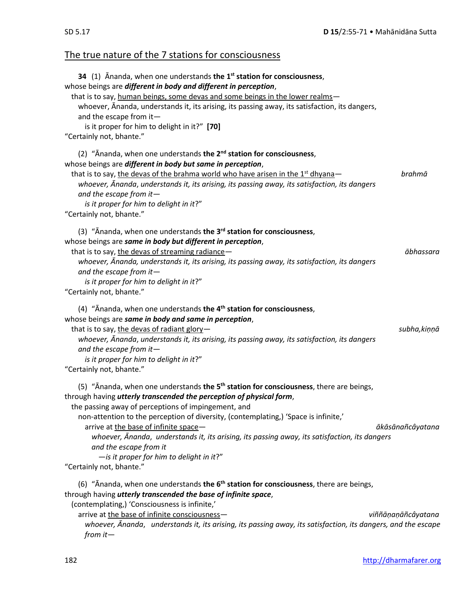# The true nature of the 7 stations for consciousness

| 34 (1) Ananda, when one understands the 1 <sup>st</sup> station for consciousness,<br>whose beings are different in body and different in perception,<br>that is to say, human beings, some devas and some beings in the lower realms-<br>whoever, Ananda, understands it, its arising, its passing away, its satisfaction, its dangers,<br>and the escape from it-<br>is it proper for him to delight in it?" [70]<br>"Certainly not, bhante."                                                                                                                                |                    |
|--------------------------------------------------------------------------------------------------------------------------------------------------------------------------------------------------------------------------------------------------------------------------------------------------------------------------------------------------------------------------------------------------------------------------------------------------------------------------------------------------------------------------------------------------------------------------------|--------------------|
| (2) " $\bar{A}$ nanda, when one understands the $2^{nd}$ station for consciousness,<br>whose beings are different in body but same in perception,<br>that is to say, the devas of the brahma world who have arisen in the 1 <sup>st</sup> dhyana-<br>whoever, Ānanda, understands it, its arising, its passing away, its satisfaction, its dangers<br>and the escape from it $-$<br>is it proper for him to delight in it?"<br>"Certainly not, bhante."                                                                                                                        | brahmā             |
| (3) "Ānanda, when one understands the 3 <sup>rd</sup> station for consciousness,<br>whose beings are same in body but different in perception,<br>that is to say, the devas of streaming radiance-<br>whoever, Ananda, understands it, its arising, its passing away, its satisfaction, its dangers<br>and the escape from it $-$<br>is it proper for him to delight in it?"<br>"Certainly not, bhante."                                                                                                                                                                       | ābhassara          |
| (4) " $\bar{A}$ nanda, when one understands the 4 <sup>th</sup> station for consciousness,<br>whose beings are same in body and same in perception,<br>that is to say, the devas of radiant glory-<br>whoever, Ananda, understands it, its arising, its passing away, its satisfaction, its dangers<br>and the escape from it $-$<br>is it proper for him to delight in it?"<br>"Certainly not, bhante."                                                                                                                                                                       | subha, kiņņā       |
| (5) "Ananda, when one understands the 5 <sup>th</sup> station for consciousness, there are beings,<br>through having <i>utterly transcended the perception of physical form</i> ,<br>the passing away of perceptions of impingement, and<br>non-attention to the perception of diversity, (contemplating,) 'Space is infinite,'<br>arrive at the base of infinite space-<br>whoever, Ānanda, understands it, its arising, its passing away, its satisfaction, its dangers<br>and the escape from it<br>$-$ is it proper for him to delight in it?"<br>"Certainly not, bhante." | ākāsānañcâyatana   |
| (6) "Ananda, when one understands the $6th$ station for consciousness, there are beings,<br>through having utterly transcended the base of infinite space,<br>(contemplating,) 'Consciousness is infinite,'<br>arrive at the base of infinite consciousness-<br>whoever, Ananda, understands it, its arising, its passing away, its satisfaction, its dangers, and the escape<br>from it $-$                                                                                                                                                                                   | viññāṇaṇāñcâyatana |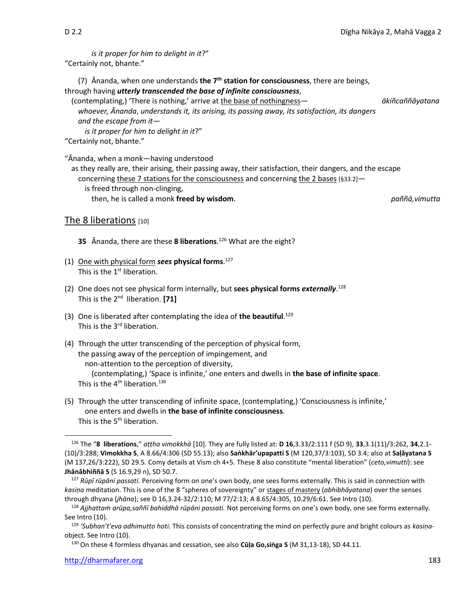*is it proper for him to delight in it*?" "Certainly not, bhante."

(7) Ānanda, when one understands **the 7 th station for consciousness**, there are beings, through having *utterly transcended the base of infinite consciousness*,

(contemplating,) 'There is nothing,' arrive at the base of nothingness— *ākiñcaññâyatana whoever, Ānanda*, *understands it, its arising, its passing away, its satisfaction, its dangers and the escape from it—*

*is it proper for him to delight in it*?" "Certainly not, bhante."

"Ānanda, when a monk—having understood

as they really are, their arising, their passing away, their satisfaction, their dangers, and the escape concerning these 7 stations for the consciousness and concerning the 2 bases [§33.2] is freed through non-clinging, then, he is called a monk **freed by wisdom**. *paññā,vimutta*

The 8 liberations [10]

**35** Ānanda, there are these **8 liberations**. <sup>126</sup> What are the eight?

- (1) One with physical form *sees* **physical forms**. 127 This is the 1<sup>st</sup> liberation.
- (2) One does not see physical form internally, but **sees physical forms** *externally*. 128 This is the 2<sup>nd</sup> liberation. [71]
- (3) One is liberated after contemplating the idea of **the beautiful**. 129 This is the 3<sup>rd</sup> liberation.
- (4) Through the utter transcending of the perception of physical form, the passing away of the perception of impingement, and non-attention to the perception of diversity, (contemplating,) 'Space is infinite,' one enters and dwells in **the base of infinite space**. This is the  $4^{\text{th}}$  liberation.<sup>130</sup>
- (5) Through the utter transcending of infinite space, (contemplating,) 'Consciousness is infinite,' one enters and dwells in **the base of infinite consciousness**. This is the 5<sup>th</sup> liberation.

<sup>126</sup> The "**8 liberations**," *aṭṭha vimokkhā* [10]. They are fully listed at: **D 16**,3.33/2:111 f (SD 9), **33**,3.1(11)/3:262, **34**,2.1- (10)/3:288; **Vimokkha S**, A 8.66/4:306 (SD 55.13); also **Saṅkhār'upapatti S** (M 120,37/3:103), SD 3.4; also at **Saḷāyatana S**  (M 137,26/3:222), SD 29.5*.* Comy details at Vism ch 4+5*.* These 8 also constitute "mental liberation" (*ceto,vimutti*): see **Jhānâbhiññā S** (S 16.9,29 n), SD 50.7.

<sup>127</sup> *Rūpī rūpāni passati.* Perceiving form on one's own body, one sees forms externally. This is said in connection with *kasiṇa* meditation. This is one of the 8 "spheres of sovereignty" or stages of mastery (*abhibhāyatana*) over the senses through dhyana (*jhāna*); see D 16,3.24-32/2:110; M 77/2:13; A 8.65/4:305, 10.29/6:61. See Intro (10).

<sup>128</sup> *Ajjhattaṁ arūpa,saññī bahiddhā rūpāni passati.* Not perceiving forms on one's own body, one see forms externally. See Intro (10).

<sup>129</sup> *'Subhan't'eva adhimutto hoti.* This consists of concentrating the mind on perfectly pure and bright colours as *kasiṇa*object*.* See Intro (10).

<sup>130</sup> On these 4 formless dhyanas and cessation, see also **Cūḷa Go,siṅga S** (M 31,13-18), SD 44.11.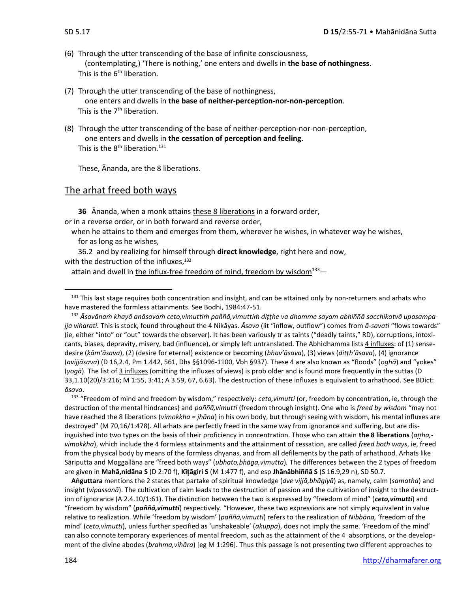- (6) Through the utter transcending of the base of infinite consciousness, (contemplating,) 'There is nothing,' one enters and dwells in **the base of nothingness**. This is the 6<sup>th</sup> liberation.
- (7) Through the utter transcending of the base of nothingness, one enters and dwells in **the base of neither-perception-nor-non-perception**. This is the 7<sup>th</sup> liberation.
- (8) Through the utter transcending of the base of neither-perception-nor-non-perception, one enters and dwells in **the cessation of perception and feeling**. This is the  $8<sup>th</sup>$  liberation.<sup>131</sup>

These, Ānanda, are the 8 liberations.

### The arhat freed both ways

**36** Ānanda, when a monk attains these 8 liberations in a forward order, or in a reverse order, or in both forward and reverse order,

when he attains to them and emerges from them, wherever he wishes, in whatever way he wishes, for as long as he wishes,

36.2 and by realizing for himself through **direct knowledge**, right here and now, with the destruction of the influxes, $132$ 

attain and dwell in the influx-free freedom of mind, freedom by wisdom $133$ —

<sup>133</sup> "Freedom of mind and freedom by wisdom," respectively: *ceto,vimutti* (or, freedom by concentration, ie, through the destruction of the mental hindrances) and *paññā,vimutti* (freedom through insight). One who is *freed by wisdom* "may not have reached the 8 liberations (*vimokkha = jhāna*) in his own body, but through seeing with wisdom, his mental influxes are destroyed" (M 70,16/1:478). All arhats are perfectly freed in the same way from ignorance and suffering, but are disinguished into two types on the basis of their proficiency in concentration. Those who can attain **the 8 liberations** (*aha, vimokkha*), which include the 4 formless attainments and the attainment of cessation, are called *freed both ways*, ie, freed from the physical body by means of the formless dhyanas, and from all defilements by the path of arhathood. Arhats like Sāriputta and Moggallāna are "freed both ways" (*ubhato,bhāga,vimutta*)*.* The differences between the 2 types of freedom are given in **Mahā,nidāna S** (D 2:70 f), **Kīāgiri S** (M 1:477 f), and esp **Jhānâbhiññā S** (S 16.9,29 n), SD 50.7.

**Aṅguttara** mentions the 2 states that partake of spiritual knowledge (*dve vijjā,bhāgiyā*) as, namely, calm (*samatha*) and insight (*vipassanā*). The cultivation of calm leads to the destruction of passion and the cultivation of insight to the destruction of ignorance (A 2.4.10/1:61). The distinction between the two is expressed by "freedom of mind" (*ceto,vimutti*) and "freedom by wisdom" (*paññā,vimutti*) respectively. "However, these two expressions are not simply equivalent in value relative to realization. While 'freedom by wisdom' (*paññā,vimutti*) refers to the realization of *Nibbāna,* 'freedom of the mind' (*ceto,vimutti*), unless further specified as 'unshakeable' (*akuppa*), does not imply the same. 'Freedom of the mind' can also connote temporary experiences of mental freedom, such as the attainment of the 4 absorptions, or the development of the divine abodes (*brahma,vihāra*) [eg M 1:296]. Thus this passage is not presenting two different approaches to

 $131$  This last stage requires both concentration and insight, and can be attained only by non-returners and arhats who have mastered the formless attainments. See Bodhi, 1984:47-51.

<sup>&</sup>lt;sup>132</sup> Āsavānam khayā anāsavam ceto, vimuttim paññā, vimuttim dițțhe va dhamme sayam abhiññā sacchikatvā upasampa*jja viharati.* This is stock, found throughout the 4 Nikāyas. *Āsava* (lit "inflow, outflow") comes from *ā-savati* "flows towards" (ie, either "into" or "out" towards the observer). It has been variously tr as taints ("deadly taints," RD), corruptions, intoxicants, biases, depravity, misery, bad (influence), or simply left untranslated. The Abhidhamma lists 4 influxes: of (1) sensedesire (*kām'āsava*), (2) (desire for eternal) existence or becoming (*bhav'āsava*), (3) views (*diṭṭh'āsava*), (4) ignorance (*avijjâsava*) (D 16,2.4, Pm 1.442, 561, Dhs §§1096-1100, Vbh §937). These 4 are also known as "floods" (*oghā*) and "yokes" (*yogā*). The list of 3 influxes (omitting the influxes of views) is prob older and is found more frequently in the suttas (D 33,1.10(20)/3:216; M 1:55, 3:41; A 3.59, 67, 6.63). The destruction of these influxes is equivalent to arhathood. See BDict: *āsava*.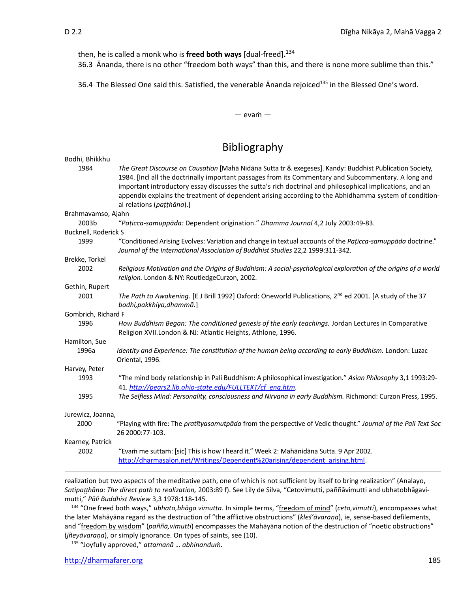then, he is called a monk who is **freed both ways** [dual-freed]**.** 134

36.3Ānanda, there is no other "freedom both ways" than this, and there is none more sublime than this."

36.4 The Blessed One said this. Satisfied, the venerable Ānanda rejoiced<sup>135</sup> in the Blessed One's word.

### — evaṁ —

# Bibliography

| Bodhi, Bhikkhu       |                                                                                                                                                                                                                                                                                                                                                                                                                                                                    |
|----------------------|--------------------------------------------------------------------------------------------------------------------------------------------------------------------------------------------------------------------------------------------------------------------------------------------------------------------------------------------------------------------------------------------------------------------------------------------------------------------|
| 1984                 | The Great Discourse on Causation [Mahā Nidāna Sutta tr & exegeses]. Kandy: Buddhist Publication Society,<br>1984. [Incl all the doctrinally important passages from its Commentary and Subcommentary. A long and<br>important introductory essay discusses the sutta's rich doctrinal and philosophical implications, and an<br>appendix explains the treatment of dependent arising according to the Abhidhamma system of condition-<br>al relations (pațțhāna).] |
| Brahmavamso, Ajahn   |                                                                                                                                                                                                                                                                                                                                                                                                                                                                    |
| 2003b                | "Pațicca-samuppāda: Dependent origination." Dhamma Journal 4,2 July 2003:49-83.                                                                                                                                                                                                                                                                                                                                                                                    |
| Bucknell, Roderick S |                                                                                                                                                                                                                                                                                                                                                                                                                                                                    |
| 1999                 | "Conditioned Arising Evolves: Variation and change in textual accounts of the Paticca-samuppada doctrine."<br>Journal of the International Association of Buddhist Studies 22,2 1999:311-342.                                                                                                                                                                                                                                                                      |
| Brekke, Torkel       |                                                                                                                                                                                                                                                                                                                                                                                                                                                                    |
| 2002                 | Religious Motivation and the Origins of Buddhism: A social-psychological exploration of the origins of a world<br>religion. London & NY: RoutledgeCurzon, 2002.                                                                                                                                                                                                                                                                                                    |
| Gethin, Rupert       |                                                                                                                                                                                                                                                                                                                                                                                                                                                                    |
| 2001                 | The Path to Awakening. [E J Brill 1992] Oxford: Oneworld Publications, 2 <sup>nd</sup> ed 2001. [A study of the 37<br>bodhi, pakkhiya, dhammā.]                                                                                                                                                                                                                                                                                                                    |
| Gombrich, Richard F  |                                                                                                                                                                                                                                                                                                                                                                                                                                                                    |
| 1996                 | How Buddhism Began: The conditioned genesis of the early teachings. Jordan Lectures in Comparative<br>Religion XVII. London & NJ: Atlantic Heights, Athlone, 1996.                                                                                                                                                                                                                                                                                                 |
| Hamilton, Sue        |                                                                                                                                                                                                                                                                                                                                                                                                                                                                    |
| 1996a                | Identity and Experience: The constitution of the human being according to early Buddhism. London: Luzac<br>Oriental, 1996.                                                                                                                                                                                                                                                                                                                                         |
| Harvey, Peter        |                                                                                                                                                                                                                                                                                                                                                                                                                                                                    |
| 1993                 | "The mind body relationship in Pali Buddhism: A philosophical investigation." Asian Philosophy 3,1 1993:29-<br>41. http://pears2.lib.ohio-state.edu/FULLTEXT/cf eng.htm.                                                                                                                                                                                                                                                                                           |
| 1995                 | The Selfless Mind: Personality, consciousness and Nirvana in early Buddhism. Richmond: Curzon Press, 1995.                                                                                                                                                                                                                                                                                                                                                         |
| Jurewicz, Joanna,    |                                                                                                                                                                                                                                                                                                                                                                                                                                                                    |
| 2000                 | "Playing with fire: The pratityasamutpāda from the perspective of Vedic thought." Journal of the Pali Text Soc<br>26 2000:77-103.                                                                                                                                                                                                                                                                                                                                  |
| Kearney, Patrick     |                                                                                                                                                                                                                                                                                                                                                                                                                                                                    |
| 2002                 | "Evam me suttam: [sic] This is how I heard it." Week 2: Mahānidāna Sutta. 9 Apr 2002.<br>http://dharmasalon.net/Writings/Dependent%20arising/dependent arising.html.                                                                                                                                                                                                                                                                                               |

realization but two aspects of the meditative path, one of which is not sufficient by itself to bring realization" (Analayo, *Satipahāna: The direct path to realization,* 2003:89 f). See Lily de Silva, "Cetovimutti, paññāvimutti and ubhatobhāgavimutti," *Pāli Buddhist Review* 3,3 1978:118-145.

<sup>134</sup> "One freed both ways," *ubhato,bhāga vimutta.* In simple terms, "freedom of mind" (*ceto,vimutti*), encompasses what the later Mahāyāna regard as the destruction of "the afflictive obstructions" (*kleś'āvaraṇa*), ie, sense-based defilements, and "freedom by wisdom" (*paññā,vimutti*) encompasses the Mahāyāna notion of the destruction of "noetic obstructions" (*jñeyāvaraṇa*), or simply ignorance. On types of saints, see (10).

<sup>135</sup> "Joyfully approved," *attamanā … abhinanduṁ.*